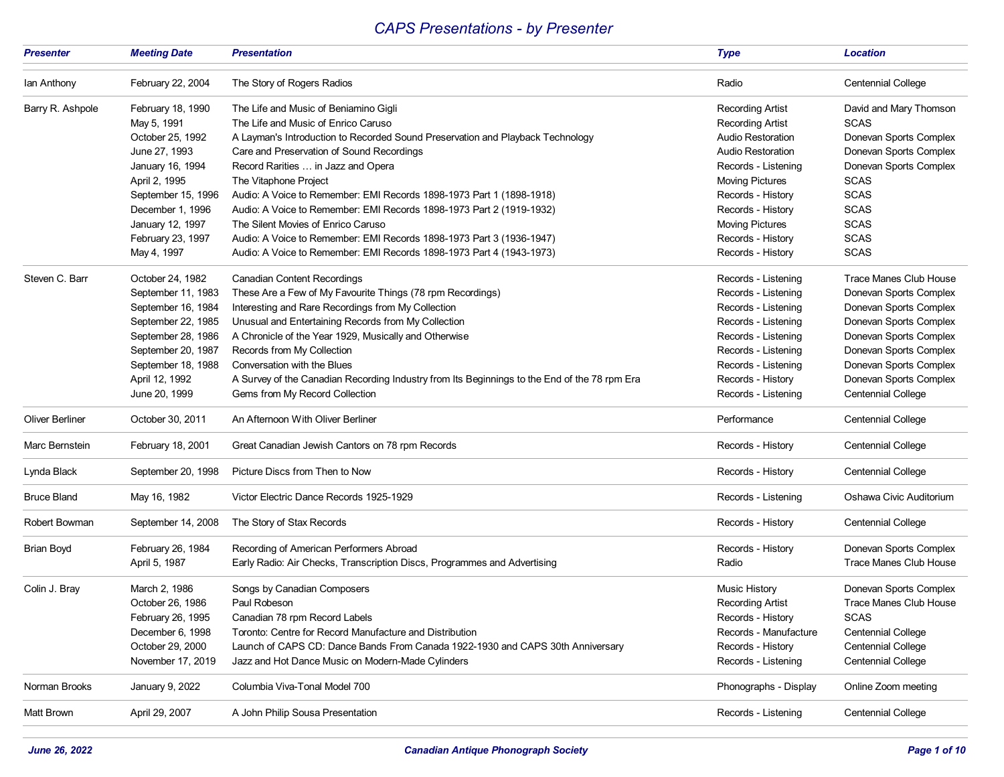## *CAPS Presentations - by Presenter*

| <b>Presenter</b>       | <b>Meeting Date</b> | <b>Presentation</b>                                                                          | <b>Type</b>              | <b>Location</b>               |
|------------------------|---------------------|----------------------------------------------------------------------------------------------|--------------------------|-------------------------------|
| lan Anthony            | February 22, 2004   | The Story of Rogers Radios                                                                   | Radio                    | <b>Centennial College</b>     |
| Barry R. Ashpole       | February 18, 1990   | The Life and Music of Beniamino Gigli                                                        | <b>Recording Artist</b>  | David and Mary Thomson        |
|                        | May 5, 1991         | The Life and Music of Enrico Caruso                                                          | <b>Recording Artist</b>  | <b>SCAS</b>                   |
|                        | October 25, 1992    | A Layman's Introduction to Recorded Sound Preservation and Playback Technology               | <b>Audio Restoration</b> | Donevan Sports Complex        |
|                        | June 27, 1993       | Care and Preservation of Sound Recordings                                                    | <b>Audio Restoration</b> | Donevan Sports Complex        |
|                        | January 16, 1994    | Record Rarities  in Jazz and Opera                                                           | Records - Listening      | Donevan Sports Complex        |
|                        | April 2, 1995       | The Vitaphone Project                                                                        | <b>Moving Pictures</b>   | <b>SCAS</b>                   |
|                        | September 15, 1996  | Audio: A Voice to Remember: EMI Records 1898-1973 Part 1 (1898-1918)                         | Records - History        | <b>SCAS</b>                   |
|                        | December 1, 1996    | Audio: A Voice to Remember: EMI Records 1898-1973 Part 2 (1919-1932)                         | Records - History        | <b>SCAS</b>                   |
|                        | January 12, 1997    | The Silent Movies of Enrico Caruso                                                           | Moving Pictures          | <b>SCAS</b>                   |
|                        | February 23, 1997   | Audio: A Voice to Remember: EMI Records 1898-1973 Part 3 (1936-1947)                         | Records - History        | <b>SCAS</b>                   |
|                        | May 4, 1997         | Audio: A Voice to Remember: EMI Records 1898-1973 Part 4 (1943-1973)                         | Records - History        | <b>SCAS</b>                   |
| Steven C. Barr         | October 24, 1982    | <b>Canadian Content Recordings</b>                                                           | Records - Listening      | <b>Trace Manes Club House</b> |
|                        | September 11, 1983  | These Are a Few of My Favourite Things (78 rpm Recordings)                                   | Records - Listening      | Donevan Sports Complex        |
|                        | September 16, 1984  | Interesting and Rare Recordings from My Collection                                           | Records - Listening      | Donevan Sports Complex        |
|                        | September 22, 1985  | Unusual and Entertaining Records from My Collection                                          | Records - Listening      | Donevan Sports Complex        |
|                        | September 28, 1986  | A Chronicle of the Year 1929, Musically and Otherwise                                        | Records - Listening      | Donevan Sports Complex        |
|                        | September 20, 1987  | Records from My Collection                                                                   | Records - Listening      | Donevan Sports Complex        |
|                        | September 18, 1988  | Conversation with the Blues                                                                  | Records - Listening      | Donevan Sports Complex        |
|                        | April 12, 1992      | A Survey of the Canadian Recording Industry from Its Beginnings to the End of the 78 rpm Era | Records - History        | Donevan Sports Complex        |
|                        | June 20, 1999       | Gems from My Record Collection                                                               | Records - Listening      | <b>Centennial College</b>     |
| <b>Oliver Berliner</b> | October 30, 2011    | An Afternoon With Oliver Berliner                                                            | Performance              | <b>Centennial College</b>     |
| Marc Bernstein         | February 18, 2001   | Great Canadian Jewish Cantors on 78 rpm Records                                              | Records - History        | <b>Centennial College</b>     |
| Lynda Black            | September 20, 1998  | Picture Discs from Then to Now                                                               | Records - History        | <b>Centennial College</b>     |
| <b>Bruce Bland</b>     | May 16, 1982        | Victor Electric Dance Records 1925-1929                                                      | Records - Listening      | Oshawa Civic Auditorium       |
| Robert Bowman          | September 14, 2008  | The Story of Stax Records                                                                    | Records - History        | <b>Centennial College</b>     |
| Brian Boyd             | February 26, 1984   | Recording of American Performers Abroad                                                      | Records - History        | Donevan Sports Complex        |
|                        | April 5, 1987       | Early Radio: Air Checks, Transcription Discs, Programmes and Advertising                     | Radio                    | <b>Trace Manes Club House</b> |
| Colin J. Bray          | March 2, 1986       | Songs by Canadian Composers                                                                  | <b>Music History</b>     | Donevan Sports Complex        |
|                        | October 26, 1986    | Paul Robeson                                                                                 | <b>Recording Artist</b>  | <b>Trace Manes Club House</b> |
|                        | February 26, 1995   | Canadian 78 rpm Record Labels                                                                | Records - History        | <b>SCAS</b>                   |
|                        | December 6, 1998    | Toronto: Centre for Record Manufacture and Distribution                                      | Records - Manufacture    | <b>Centennial College</b>     |
|                        | October 29, 2000    | Launch of CAPS CD: Dance Bands From Canada 1922-1930 and CAPS 30th Anniversary               | Records - History        | <b>Centennial College</b>     |
|                        | November 17, 2019   | Jazz and Hot Dance Music on Modern-Made Cylinders                                            | Records - Listening      | <b>Centennial College</b>     |
| Norman Brooks          | January 9, 2022     | Columbia Viva-Tonal Model 700                                                                | Phonographs - Display    | Online Zoom meeting           |
| Matt Brown             | April 29, 2007      | A John Philip Sousa Presentation                                                             | Records - Listening      | <b>Centennial College</b>     |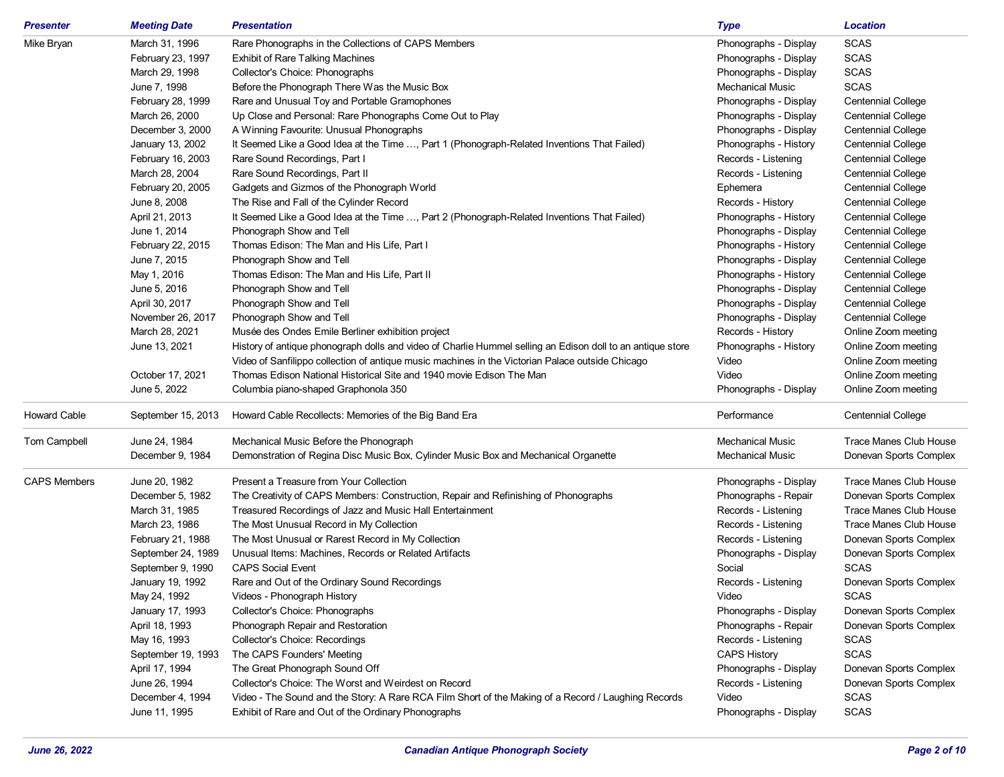| <b>Presenter</b>    | <b>Meeting Date</b> | <b>Presentation</b>                                                                                        | <b>Type</b>             | <b>Location</b>           |
|---------------------|---------------------|------------------------------------------------------------------------------------------------------------|-------------------------|---------------------------|
| Mike Bryan          | March 31, 1996      | Rare Phonographs in the Collections of CAPS Members                                                        | Phonographs - Display   | <b>SCAS</b>               |
|                     | February 23, 1997   | <b>Exhibit of Rare Talking Machines</b>                                                                    | Phonographs - Display   | <b>SCAS</b>               |
|                     | March 29, 1998      | Collector's Choice: Phonographs                                                                            | Phonographs - Display   | <b>SCAS</b>               |
|                     | June 7, 1998        | Before the Phonograph There Was the Music Box                                                              | <b>Mechanical Music</b> | <b>SCAS</b>               |
|                     | February 28, 1999   | Rare and Unusual Toy and Portable Gramophones                                                              | Phonographs - Display   | <b>Centennial College</b> |
|                     | March 26, 2000      | Up Close and Personal: Rare Phonographs Come Out to Play                                                   | Phonographs - Display   | <b>Centennial College</b> |
|                     | December 3, 2000    | A Winning Favourite: Unusual Phonographs                                                                   | Phonographs - Display   | <b>Centennial College</b> |
|                     | January 13, 2002    | It Seemed Like a Good Idea at the Time , Part 1 (Phonograph-Related Inventions That Failed)                | Phonographs - History   | <b>Centennial College</b> |
|                     | February 16, 2003   | Rare Sound Recordings, Part I                                                                              | Records - Listening     | <b>Centennial College</b> |
|                     | March 28, 2004      | Rare Sound Recordings, Part II                                                                             | Records - Listening     | <b>Centennial College</b> |
|                     | February 20, 2005   | Gadgets and Gizmos of the Phonograph World                                                                 | Ephemera                | <b>Centennial College</b> |
|                     | June 8, 2008        | The Rise and Fall of the Cylinder Record                                                                   | Records - History       | Centennial College        |
|                     | April 21, 2013      | It Seemed Like a Good Idea at the Time , Part 2 (Phonograph-Related Inventions That Failed)                | Phonographs - History   | Centennial College        |
|                     | June 1, 2014        | Phonograph Show and Tell                                                                                   | Phonographs - Display   | <b>Centennial College</b> |
|                     | February 22, 2015   | Thomas Edison: The Man and His Life, Part I                                                                | Phonographs - History   | <b>Centennial College</b> |
|                     | June 7, 2015        | Phonograph Show and Tell                                                                                   | Phonographs - Display   | <b>Centennial College</b> |
|                     | May 1, 2016         | Thomas Edison: The Man and His Life, Part II                                                               | Phonographs - History   | <b>Centennial College</b> |
|                     | June 5, 2016        | Phonograph Show and Tell                                                                                   | Phonographs - Display   | <b>Centennial College</b> |
|                     | April 30, 2017      | Phonograph Show and Tell                                                                                   | Phonographs - Display   | Centennial College        |
|                     | November 26, 2017   | Phonograph Show and Tell                                                                                   | Phonographs - Display   | <b>Centennial College</b> |
|                     | March 28, 2021      | Musée des Ondes Emile Berliner exhibition project                                                          | Records - History       | Online Zoom meeting       |
|                     | June 13, 2021       | History of antique phonograph dolls and video of Charlie Hummel selling an Edison doll to an antique store | Phonographs - History   | Online Zoom meeting       |
|                     |                     | Video of Sanfilippo collection of antique music machines in the Victorian Palace outside Chicago           | Video                   | Online Zoom meeting       |
|                     | October 17, 2021    | Thomas Edison National Historical Site and 1940 movie Edison The Man                                       | Video                   | Online Zoom meeting       |
|                     | June 5, 2022        | Columbia piano-shaped Graphonola 350                                                                       | Phonographs - Display   | Online Zoom meeting       |
| <b>Howard Cable</b> | September 15, 2013  | Howard Cable Recollects: Memories of the Big Band Era                                                      | Performance             | <b>Centennial College</b> |
| Tom Campbell        | June 24, 1984       | Mechanical Music Before the Phonograph                                                                     | <b>Mechanical Music</b> | Trace Manes Club House    |
|                     | December 9, 1984    | Demonstration of Regina Disc Music Box, Cylinder Music Box and Mechanical Organette                        | <b>Mechanical Music</b> | Donevan Sports Complex    |
| <b>CAPS Members</b> | June 20, 1982       | Present a Treasure from Your Collection                                                                    | Phonographs - Display   | Trace Manes Club House    |
|                     | December 5, 1982    | The Creativity of CAPS Members: Construction, Repair and Refinishing of Phonographs                        | Phonographs - Repair    | Donevan Sports Complex    |
|                     | March 31, 1985      | Treasured Recordings of Jazz and Music Hall Entertainment                                                  | Records - Listening     | Trace Manes Club House    |
|                     | March 23, 1986      | The Most Unusual Record in My Collection                                                                   | Records - Listening     | Trace Manes Club House    |
|                     | February 21, 1988   | The Most Unusual or Rarest Record in My Collection                                                         | Records - Listening     | Donevan Sports Complex    |
|                     | September 24, 1989  | Unusual Items: Machines, Records or Related Artifacts                                                      | Phonographs - Display   | Donevan Sports Complex    |
|                     | September 9, 1990   | <b>CAPS Social Event</b>                                                                                   | Social                  | <b>SCAS</b>               |
|                     | January 19, 1992    | Rare and Out of the Ordinary Sound Recordings                                                              | Records - Listening     | Donevan Sports Complex    |
|                     | May 24, 1992        | Videos - Phonograph History                                                                                | Video                   | <b>SCAS</b>               |
|                     | January 17, 1993    | Collector's Choice: Phonographs                                                                            | Phonographs - Display   | Donevan Sports Complex    |
|                     | April 18, 1993      | Phonograph Repair and Restoration                                                                          | Phonographs - Repair    | Donevan Sports Complex    |
|                     | May 16, 1993        | Collector's Choice: Recordings                                                                             | Records - Listening     | <b>SCAS</b>               |
|                     | September 19, 1993  | The CAPS Founders' Meeting                                                                                 | <b>CAPS History</b>     | <b>SCAS</b>               |
|                     | April 17, 1994      | The Great Phonograph Sound Off                                                                             | Phonographs - Display   | Donevan Sports Complex    |
|                     | June 26, 1994       | Collector's Choice: The Worst and Weirdest on Record                                                       | Records - Listening     | Donevan Sports Complex    |
|                     | December 4, 1994    | Video - The Sound and the Story: A Rare RCA Film Short of the Making of a Record / Laughing Records        | Video                   | <b>SCAS</b>               |
|                     | June 11, 1995       | Exhibit of Rare and Out of the Ordinary Phonographs                                                        | Phonographs - Display   | <b>SCAS</b>               |
|                     |                     |                                                                                                            |                         |                           |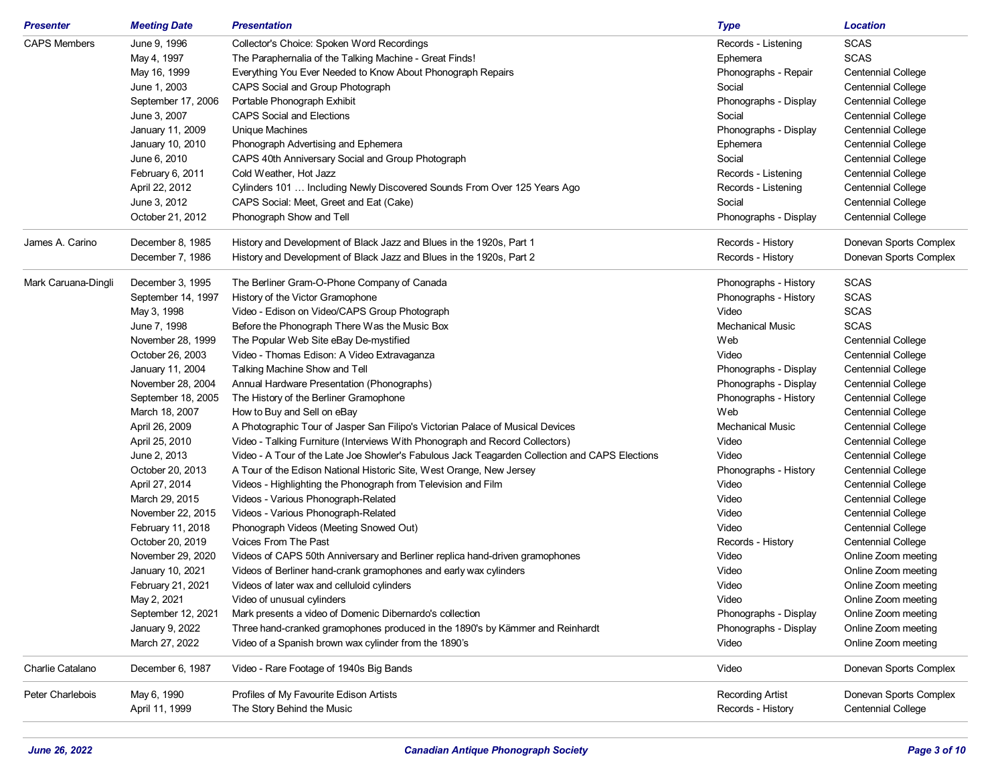| <b>Presenter</b>    | <b>Meeting Date</b> | <b>Presentation</b>                                                                            | <b>Type</b>             | <b>Location</b>           |
|---------------------|---------------------|------------------------------------------------------------------------------------------------|-------------------------|---------------------------|
| <b>CAPS Members</b> | June 9, 1996        | Collector's Choice: Spoken Word Recordings                                                     | Records - Listening     | <b>SCAS</b>               |
|                     | May 4, 1997         | The Paraphernalia of the Talking Machine - Great Finds!                                        | Ephemera                | <b>SCAS</b>               |
|                     | May 16, 1999        | Everything You Ever Needed to Know About Phonograph Repairs                                    | Phonographs - Repair    | <b>Centennial College</b> |
|                     | June 1, 2003        | CAPS Social and Group Photograph                                                               | Social                  | <b>Centennial College</b> |
|                     | September 17, 2006  | Portable Phonograph Exhibit                                                                    | Phonographs - Display   | <b>Centennial College</b> |
|                     | June 3, 2007        | <b>CAPS Social and Elections</b>                                                               | Social                  | <b>Centennial College</b> |
|                     | January 11, 2009    | Unique Machines                                                                                | Phonographs - Display   | <b>Centennial College</b> |
|                     | January 10, 2010    | Phonograph Advertising and Ephemera                                                            | Ephemera                | <b>Centennial College</b> |
|                     | June 6, 2010        | CAPS 40th Anniversary Social and Group Photograph                                              | Social                  | Centennial College        |
|                     | February 6, 2011    | Cold Weather, Hot Jazz                                                                         | Records - Listening     | <b>Centennial College</b> |
|                     | April 22, 2012      | Cylinders 101  Including Newly Discovered Sounds From Over 125 Years Ago                       | Records - Listening     | <b>Centennial College</b> |
|                     | June 3, 2012        | CAPS Social: Meet, Greet and Eat (Cake)                                                        | Social                  | <b>Centennial College</b> |
|                     | October 21, 2012    | Phonograph Show and Tell                                                                       | Phonographs - Display   | Centennial College        |
| James A. Carino     | December 8, 1985    | History and Development of Black Jazz and Blues in the 1920s, Part 1                           | Records - History       | Donevan Sports Complex    |
|                     | December 7, 1986    | History and Development of Black Jazz and Blues in the 1920s, Part 2                           | Records - History       | Donevan Sports Complex    |
| Mark Caruana-Dingli | December 3, 1995    | The Berliner Gram-O-Phone Company of Canada                                                    | Phonographs - History   | <b>SCAS</b>               |
|                     | September 14, 1997  | History of the Victor Gramophone                                                               | Phonographs - History   | <b>SCAS</b>               |
|                     | May 3, 1998         | Video - Edison on Video/CAPS Group Photograph                                                  | Video                   | <b>SCAS</b>               |
|                     | June 7, 1998        | Before the Phonograph There Was the Music Box                                                  | <b>Mechanical Music</b> | <b>SCAS</b>               |
|                     | November 28, 1999   | The Popular Web Site eBay De-mystified                                                         | Web                     | <b>Centennial College</b> |
|                     | October 26, 2003    | Video - Thomas Edison: A Video Extravaganza                                                    | Video                   | <b>Centennial College</b> |
|                     | January 11, 2004    | Talking Machine Show and Tell                                                                  | Phonographs - Display   | <b>Centennial College</b> |
|                     | November 28, 2004   | Annual Hardware Presentation (Phonographs)                                                     | Phonographs - Display   | <b>Centennial College</b> |
|                     | September 18, 2005  | The History of the Berliner Gramophone                                                         | Phonographs - History   | <b>Centennial College</b> |
|                     | March 18, 2007      | How to Buy and Sell on eBay                                                                    | Web                     | <b>Centennial College</b> |
|                     | April 26, 2009      | A Photographic Tour of Jasper San Filipo's Victorian Palace of Musical Devices                 | <b>Mechanical Music</b> | Centennial College        |
|                     | April 25, 2010      | Video - Talking Furniture (Interviews With Phonograph and Record Collectors)                   | Video                   | <b>Centennial College</b> |
|                     | June 2, 2013        | Video - A Tour of the Late Joe Showler's Fabulous Jack Teagarden Collection and CAPS Elections | Video                   | Centennial College        |
|                     | October 20, 2013    | A Tour of the Edison National Historic Site, West Orange, New Jersey                           | Phonographs - History   | Centennial College        |
|                     | April 27, 2014      | Videos - Highlighting the Phonograph from Television and Film                                  | Video                   | Centennial College        |
|                     | March 29, 2015      | Videos - Various Phonograph-Related                                                            | Video                   | Centennial College        |
|                     | November 22, 2015   | Videos - Various Phonograph-Related                                                            | Video                   | Centennial College        |
|                     | February 11, 2018   | Phonograph Videos (Meeting Snowed Out)                                                         | Video                   | Centennial College        |
|                     | October 20, 2019    | Voices From The Past                                                                           | Records - History       | <b>Centennial College</b> |
|                     | November 29, 2020   | Videos of CAPS 50th Anniversary and Berliner replica hand-driven gramophones                   | Video                   | Online Zoom meeting       |
|                     | January 10, 2021    | Videos of Berliner hand-crank gramophones and early wax cylinders                              | Video                   | Online Zoom meeting       |
|                     | February 21, 2021   | Videos of later wax and celluloid cylinders                                                    | Video                   | Online Zoom meeting       |
|                     | May 2, 2021         | Video of unusual cylinders                                                                     | Video                   | Online Zoom meeting       |
|                     | September 12, 2021  | Mark presents a video of Domenic Dibernardo's collection                                       | Phonographs - Display   | Online Zoom meeting       |
|                     | January 9, 2022     | Three hand-cranked gramophones produced in the 1890's by Kämmer and Reinhardt                  | Phonographs - Display   | Online Zoom meeting       |
|                     | March 27, 2022      | Video of a Spanish brown wax cylinder from the 1890's                                          | Video                   | Online Zoom meeting       |
| Charlie Catalano    | December 6, 1987    | Video - Rare Footage of 1940s Big Bands                                                        | Video                   | Donevan Sports Complex    |
| Peter Charlebois    | May 6, 1990         | Profiles of My Favourite Edison Artists                                                        | <b>Recording Artist</b> | Donevan Sports Complex    |
|                     | April 11, 1999      | The Story Behind the Music                                                                     | Records - History       | <b>Centennial College</b> |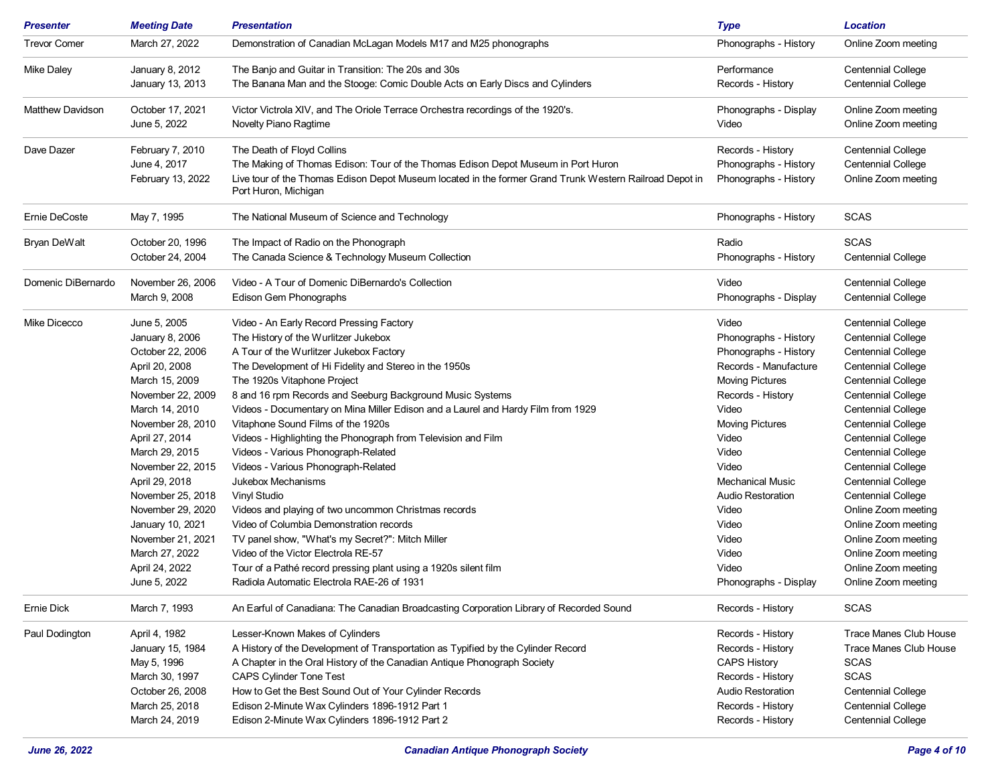| <b>Presenter</b>    | <b>Meeting Date</b>              | <b>Presentation</b>                                                                                                             | <b>Type</b>                    | <b>Location</b>                            |
|---------------------|----------------------------------|---------------------------------------------------------------------------------------------------------------------------------|--------------------------------|--------------------------------------------|
| <b>Trevor Comer</b> | March 27, 2022                   | Demonstration of Canadian McLagan Models M17 and M25 phonographs                                                                | Phonographs - History          | Online Zoom meeting                        |
| Mike Daley          | January 8, 2012                  | The Banjo and Guitar in Transition: The 20s and 30s                                                                             | Performance                    | <b>Centennial College</b>                  |
|                     | January 13, 2013                 | The Banana Man and the Stooge: Comic Double Acts on Early Discs and Cylinders                                                   | Records - History              | <b>Centennial College</b>                  |
| Matthew Davidson    | October 17, 2021<br>June 5, 2022 | Victor Victrola XIV, and The Oriole Terrace Orchestra recordings of the 1920's.<br>Novelty Piano Ragtime                        | Phonographs - Display<br>Video | Online Zoom meeting<br>Online Zoom meeting |
| Dave Dazer          | February 7, 2010                 | The Death of Floyd Collins                                                                                                      | Records - History              | <b>Centennial College</b>                  |
|                     | June 4, 2017                     | The Making of Thomas Edison: Tour of the Thomas Edison Depot Museum in Port Huron                                               | Phonographs - History          | <b>Centennial College</b>                  |
|                     | February 13, 2022                | Live tour of the Thomas Edison Depot Museum located in the former Grand Trunk Western Railroad Depot in<br>Port Huron, Michigan | Phonographs - History          | Online Zoom meeting                        |
| Ernie DeCoste       | May 7, 1995                      | The National Museum of Science and Technology                                                                                   | Phonographs - History          | <b>SCAS</b>                                |
| Bryan DeWalt        | October 20, 1996                 | The Impact of Radio on the Phonograph                                                                                           | Radio                          | <b>SCAS</b>                                |
|                     | October 24, 2004                 | The Canada Science & Technology Museum Collection                                                                               | Phonographs - History          | <b>Centennial College</b>                  |
| Domenic DiBernardo  | November 26, 2006                | Video - A Tour of Domenic DiBernardo's Collection                                                                               | Video                          | <b>Centennial College</b>                  |
|                     | March 9, 2008                    | Edison Gem Phonographs                                                                                                          | Phonographs - Display          | <b>Centennial College</b>                  |
| Mike Dicecco        | June 5, 2005                     | Video - An Early Record Pressing Factory                                                                                        | Video                          | <b>Centennial College</b>                  |
|                     | January 8, 2006                  | The History of the Wurlitzer Jukebox                                                                                            | Phonographs - History          | <b>Centennial College</b>                  |
|                     | October 22, 2006                 | A Tour of the Wurlitzer Jukebox Factory                                                                                         | Phonographs - History          | <b>Centennial College</b>                  |
|                     | April 20, 2008                   | The Development of Hi Fidelity and Stereo in the 1950s                                                                          | Records - Manufacture          | <b>Centennial College</b>                  |
|                     | March 15, 2009                   | The 1920s Vitaphone Project                                                                                                     | <b>Moving Pictures</b>         | <b>Centennial College</b>                  |
|                     | November 22, 2009                | 8 and 16 rpm Records and Seeburg Background Music Systems                                                                       | Records - History              | <b>Centennial College</b>                  |
|                     | March 14, 2010                   | Videos - Documentary on Mina Miller Edison and a Laurel and Hardy Film from 1929                                                | Video                          | <b>Centennial College</b>                  |
|                     | November 28, 2010                | Vitaphone Sound Films of the 1920s                                                                                              | <b>Moving Pictures</b>         | <b>Centennial College</b>                  |
|                     | April 27, 2014                   | Videos - Highlighting the Phonograph from Television and Film                                                                   | Video                          | <b>Centennial College</b>                  |
|                     | March 29, 2015                   | Videos - Various Phonograph-Related                                                                                             | Video                          | <b>Centennial College</b>                  |
|                     | November 22, 2015                | Videos - Various Phonograph-Related                                                                                             | Video                          | <b>Centennial College</b>                  |
|                     |                                  |                                                                                                                                 |                                |                                            |
|                     | April 29, 2018                   | Jukebox Mechanisms                                                                                                              | <b>Mechanical Music</b>        | <b>Centennial College</b>                  |
|                     | November 25, 2018                | Vinyl Studio                                                                                                                    | <b>Audio Restoration</b>       | <b>Centennial College</b>                  |
|                     | November 29, 2020                | Videos and playing of two uncommon Christmas records                                                                            | Video                          | Online Zoom meeting                        |
|                     | January 10, 2021                 | Video of Columbia Demonstration records                                                                                         | Video                          | Online Zoom meeting                        |
|                     | November 21, 2021                | TV panel show, "What's my Secret?": Mitch Miller                                                                                | Video                          | Online Zoom meeting                        |
|                     | March 27, 2022                   | Video of the Victor Electrola RE-57                                                                                             | Video                          | Online Zoom meeting                        |
|                     | April 24, 2022                   | Tour of a Pathé record pressing plant using a 1920s silent film                                                                 | Video                          | Online Zoom meeting                        |
|                     | June 5, 2022                     | Radiola Automatic Electrola RAE-26 of 1931                                                                                      | Phonographs - Display          | Online Zoom meeting                        |
| Ernie Dick          | March 7, 1993                    | An Earful of Canadiana: The Canadian Broadcasting Corporation Library of Recorded Sound                                         | Records - History              | <b>SCAS</b>                                |
| Paul Dodington      | April 4, 1982                    | Lesser-Known Makes of Cylinders                                                                                                 | Records - History              | Trace Manes Club House                     |
|                     | January 15, 1984                 | A History of the Development of Transportation as Typified by the Cylinder Record                                               | Records - History              | Trace Manes Club House                     |
|                     | May 5, 1996                      | A Chapter in the Oral History of the Canadian Antique Phonograph Society                                                        | <b>CAPS History</b>            | <b>SCAS</b>                                |
|                     | March 30, 1997                   | CAPS Cylinder Tone Test                                                                                                         | Records - History              | <b>SCAS</b>                                |
|                     | October 26, 2008                 | How to Get the Best Sound Out of Your Cylinder Records                                                                          | <b>Audio Restoration</b>       | <b>Centennial College</b>                  |
|                     | March 25, 2018                   | Edison 2-Minute Wax Cylinders 1896-1912 Part 1                                                                                  | Records - History              | <b>Centennial College</b>                  |
|                     | March 24, 2019                   | Edison 2-Minute Wax Cylinders 1896-1912 Part 2                                                                                  | Records - History              | <b>Centennial College</b>                  |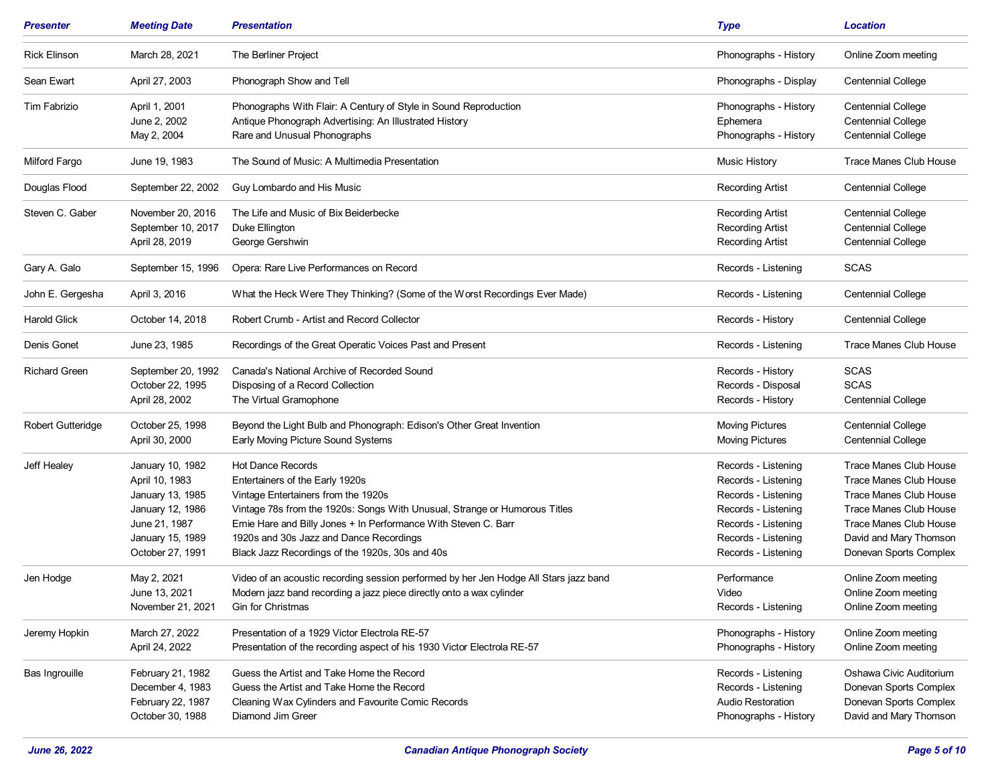| <b>Presenter</b>         | <b>Meeting Date</b>                                                                                                                 | Presentation                                                                                                                                                                                                                                                                                                                                      | <b>Type</b>                                                                                                                                                   | <b>Location</b>                                                                                                                                                                                  |
|--------------------------|-------------------------------------------------------------------------------------------------------------------------------------|---------------------------------------------------------------------------------------------------------------------------------------------------------------------------------------------------------------------------------------------------------------------------------------------------------------------------------------------------|---------------------------------------------------------------------------------------------------------------------------------------------------------------|--------------------------------------------------------------------------------------------------------------------------------------------------------------------------------------------------|
| <b>Rick Elinson</b>      | March 28, 2021                                                                                                                      | The Berliner Project                                                                                                                                                                                                                                                                                                                              | Phonographs - History                                                                                                                                         | Online Zoom meeting                                                                                                                                                                              |
| Sean Ewart               | April 27, 2003                                                                                                                      | Phonograph Show and Tell                                                                                                                                                                                                                                                                                                                          | Phonographs - Display                                                                                                                                         | <b>Centennial College</b>                                                                                                                                                                        |
| Tim Fabrizio             | April 1, 2001<br>June 2, 2002<br>May 2, 2004                                                                                        | Phonographs With Flair: A Century of Style in Sound Reproduction<br>Antique Phonograph Advertising: An Illustrated History<br>Rare and Unusual Phonographs                                                                                                                                                                                        | Phonographs - History<br>Ephemera<br>Phonographs - History                                                                                                    | <b>Centennial College</b><br><b>Centennial College</b><br><b>Centennial College</b>                                                                                                              |
| Milford Fargo            | June 19, 1983                                                                                                                       | The Sound of Music: A Multimedia Presentation                                                                                                                                                                                                                                                                                                     | <b>Music History</b>                                                                                                                                          | <b>Trace Manes Club House</b>                                                                                                                                                                    |
| Douglas Flood            | September 22, 2002                                                                                                                  | Guy Lombardo and His Music                                                                                                                                                                                                                                                                                                                        | <b>Recording Artist</b>                                                                                                                                       | <b>Centennial College</b>                                                                                                                                                                        |
| Steven C. Gaber          | November 20, 2016<br>September 10, 2017<br>April 28, 2019                                                                           | The Life and Music of Bix Beiderbecke<br>Duke Ellington<br>George Gershwin                                                                                                                                                                                                                                                                        | <b>Recording Artist</b><br><b>Recording Artist</b><br><b>Recording Artist</b>                                                                                 | <b>Centennial College</b><br><b>Centennial College</b><br><b>Centennial College</b>                                                                                                              |
| Gary A. Galo             | September 15, 1996                                                                                                                  | Opera: Rare Live Performances on Record                                                                                                                                                                                                                                                                                                           | Records - Listening                                                                                                                                           | <b>SCAS</b>                                                                                                                                                                                      |
| John E. Gergesha         | April 3, 2016                                                                                                                       | What the Heck Were They Thinking? (Some of the Worst Recordings Ever Made)                                                                                                                                                                                                                                                                        | Records - Listening                                                                                                                                           | <b>Centennial College</b>                                                                                                                                                                        |
| <b>Harold Glick</b>      | October 14, 2018                                                                                                                    | Robert Crumb - Artist and Record Collector                                                                                                                                                                                                                                                                                                        | Records - History                                                                                                                                             | <b>Centennial College</b>                                                                                                                                                                        |
| Denis Gonet              | June 23, 1985                                                                                                                       | Recordings of the Great Operatic Voices Past and Present                                                                                                                                                                                                                                                                                          | Records - Listening                                                                                                                                           | <b>Trace Manes Club House</b>                                                                                                                                                                    |
| <b>Richard Green</b>     | September 20, 1992<br>October 22, 1995<br>April 28, 2002                                                                            | Canada's National Archive of Recorded Sound<br>Disposing of a Record Collection<br>The Virtual Gramophone                                                                                                                                                                                                                                         | Records - History<br>Records - Disposal<br>Records - History                                                                                                  | <b>SCAS</b><br><b>SCAS</b><br><b>Centennial College</b>                                                                                                                                          |
| <b>Robert Gutteridge</b> | October 25, 1998<br>April 30, 2000                                                                                                  | Beyond the Light Bulb and Phonograph: Edison's Other Great Invention<br>Early Moving Picture Sound Systems                                                                                                                                                                                                                                        | <b>Moving Pictures</b><br><b>Moving Pictures</b>                                                                                                              | <b>Centennial College</b><br><b>Centennial College</b>                                                                                                                                           |
| Jeff Healey              | January 10, 1982<br>April 10, 1983<br>January 13, 1985<br>January 12, 1986<br>June 21, 1987<br>January 15, 1989<br>October 27, 1991 | <b>Hot Dance Records</b><br>Entertainers of the Early 1920s<br>Vintage Entertainers from the 1920s<br>Vintage 78s from the 1920s: Songs With Unusual, Strange or Humorous Titles<br>Ernie Hare and Billy Jones + In Performance With Steven C. Barr<br>1920s and 30s Jazz and Dance Recordings<br>Black Jazz Recordings of the 1920s, 30s and 40s | Records - Listening<br>Records - Listening<br>Records - Listening<br>Records - Listening<br>Records - Listening<br>Records - Listening<br>Records - Listening | <b>Trace Manes Club House</b><br>Trace Manes Club House<br><b>Trace Manes Club House</b><br>Trace Manes Club House<br>Trace Manes Club House<br>David and Mary Thomson<br>Donevan Sports Complex |
| Jen Hodge                | May 2, 2021<br>June 13, 2021<br>November 21, 2021                                                                                   | Video of an acoustic recording session performed by her Jen Hodge All Stars jazz band<br>Modern jazz band recording a jazz piece directly onto a wax cylinder<br>Gin for Christmas                                                                                                                                                                | Performance<br>Video<br>Records - Listening                                                                                                                   | Online Zoom meeting<br>Online Zoom meeting<br>Online Zoom meeting                                                                                                                                |
| Jeremy Hopkin            | March 27, 2022<br>April 24, 2022                                                                                                    | Presentation of a 1929 Victor Electrola RE-57<br>Presentation of the recording aspect of his 1930 Victor Electrola RE-57                                                                                                                                                                                                                          | Phonographs - History<br>Phonographs - History                                                                                                                | Online Zoom meeting<br>Online Zoom meeting                                                                                                                                                       |
| Bas Ingrouille           | February 21, 1982<br>December 4, 1983<br>February 22, 1987<br>October 30, 1988                                                      | Guess the Artist and Take Home the Record<br>Guess the Artist and Take Home the Record<br>Cleaning Wax Cylinders and Favourite Comic Records<br>Diamond Jim Greer                                                                                                                                                                                 | Records - Listening<br>Records - Listening<br><b>Audio Restoration</b><br>Phonographs - History                                                               | Oshawa Civic Auditorium<br>Donevan Sports Complex<br>Donevan Sports Complex<br>David and Mary Thomson                                                                                            |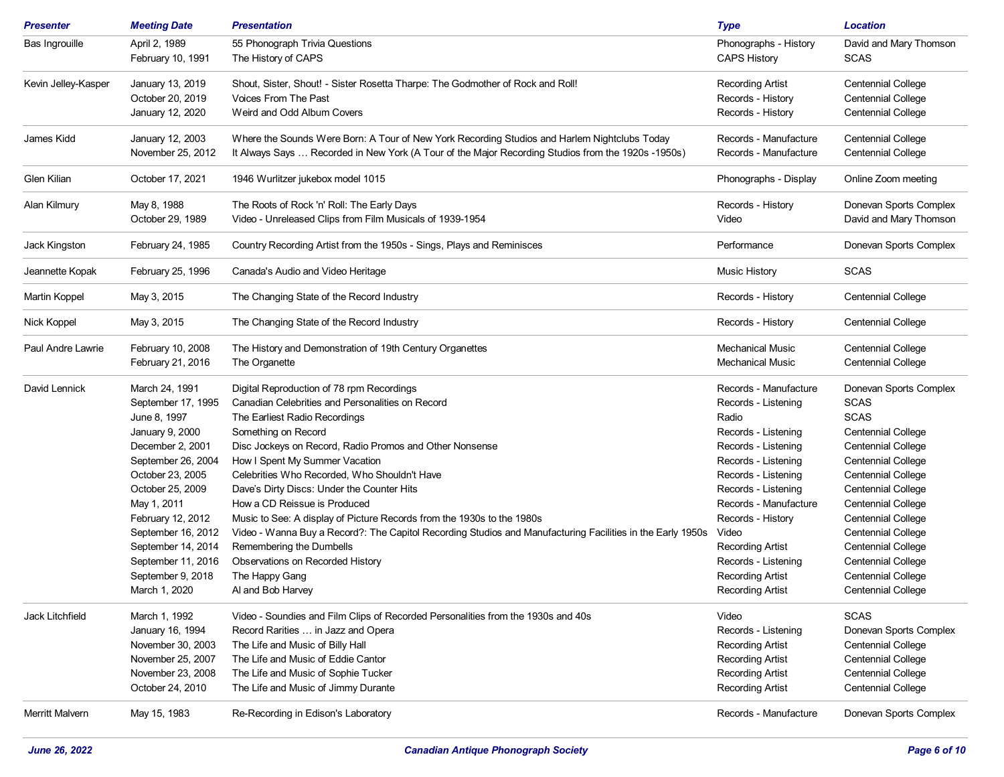| Presenter           | <b>Meeting Date</b>                    | <b>Presentation</b>                                                                                                                                                                                | <b>Type</b>                                        | <b>Location</b>                                        |
|---------------------|----------------------------------------|----------------------------------------------------------------------------------------------------------------------------------------------------------------------------------------------------|----------------------------------------------------|--------------------------------------------------------|
| Bas Ingrouille      | April 2, 1989                          | 55 Phonograph Trivia Questions                                                                                                                                                                     | Phonographs - History                              | David and Mary Thomson                                 |
|                     | February 10, 1991                      | The History of CAPS                                                                                                                                                                                | <b>CAPS History</b>                                | <b>SCAS</b>                                            |
| Kevin Jelley-Kasper | January 13, 2019                       | Shout, Sister, Shout! - Sister Rosetta Tharpe: The Godmother of Rock and Roll!                                                                                                                     | <b>Recording Artist</b>                            | <b>Centennial College</b>                              |
|                     | October 20, 2019                       | <b>Voices From The Past</b>                                                                                                                                                                        | Records - History                                  | <b>Centennial College</b>                              |
|                     | January 12, 2020                       | Weird and Odd Album Covers                                                                                                                                                                         | Records - History                                  | <b>Centennial College</b>                              |
| James Kidd          | January 12, 2003<br>November 25, 2012  | Where the Sounds Were Born: A Tour of New York Recording Studios and Harlem Nightclubs Today<br>It Always Says  Recorded in New York (A Tour of the Major Recording Studios from the 1920s -1950s) | Records - Manufacture<br>Records - Manufacture     | <b>Centennial College</b><br><b>Centennial College</b> |
| Glen Kilian         | October 17, 2021                       | 1946 Wurlitzer jukebox model 1015                                                                                                                                                                  | Phonographs - Display                              | Online Zoom meeting                                    |
| Alan Kilmury        | May 8, 1988                            | The Roots of Rock 'n' Roll: The Early Days                                                                                                                                                         | Records - History                                  | Donevan Sports Complex                                 |
|                     | October 29, 1989                       | Video - Unreleased Clips from Film Musicals of 1939-1954                                                                                                                                           | Video                                              | David and Mary Thomson                                 |
| Jack Kingston       | February 24, 1985                      | Country Recording Artist from the 1950s - Sings, Plays and Reminisces                                                                                                                              | Performance                                        | Donevan Sports Complex                                 |
| Jeannette Kopak     | February 25, 1996                      | Canada's Audio and Video Heritage                                                                                                                                                                  | <b>Music History</b>                               | <b>SCAS</b>                                            |
| Martin Koppel       | May 3, 2015                            | The Changing State of the Record Industry                                                                                                                                                          | Records - History                                  | <b>Centennial College</b>                              |
| Nick Koppel         | May 3, 2015                            | The Changing State of the Record Industry                                                                                                                                                          | Records - History                                  | <b>Centennial College</b>                              |
| Paul Andre Lawrie   | February 10, 2008<br>February 21, 2016 | The History and Demonstration of 19th Century Organettes<br>The Organette                                                                                                                          | <b>Mechanical Music</b><br><b>Mechanical Music</b> | <b>Centennial College</b><br><b>Centennial College</b> |
| David Lennick       | March 24, 1991                         | Digital Reproduction of 78 rpm Recordings                                                                                                                                                          | Records - Manufacture                              | Donevan Sports Complex                                 |
|                     | September 17, 1995                     | Canadian Celebrities and Personalities on Record                                                                                                                                                   | Records - Listening                                | <b>SCAS</b>                                            |
|                     | June 8, 1997                           | The Earliest Radio Recordings                                                                                                                                                                      | Radio                                              | <b>SCAS</b>                                            |
|                     | January 9, 2000                        | Something on Record                                                                                                                                                                                | Records - Listening                                | <b>Centennial College</b>                              |
|                     | December 2, 2001                       | Disc Jockeys on Record, Radio Promos and Other Nonsense                                                                                                                                            | Records - Listening                                | <b>Centennial College</b>                              |
|                     | September 26, 2004                     | How I Spent My Summer Vacation                                                                                                                                                                     | Records - Listening                                | <b>Centennial College</b>                              |
|                     | October 23, 2005                       | Celebrities Who Recorded, Who Shouldn't Have                                                                                                                                                       | Records - Listening                                | <b>Centennial College</b>                              |
|                     | October 25, 2009                       | Dave's Dirty Discs: Under the Counter Hits                                                                                                                                                         | Records - Listening                                | <b>Centennial College</b>                              |
|                     | May 1, 2011                            | How a CD Reissue is Produced                                                                                                                                                                       | Records - Manufacture                              | <b>Centennial College</b>                              |
|                     | February 12, 2012                      | Music to See: A display of Picture Records from the 1930s to the 1980s                                                                                                                             | Records - History                                  | <b>Centennial College</b>                              |
|                     | September 16, 2012                     | Video - Wanna Buy a Record?: The Capitol Recording Studios and Manufacturing Facilities in the Early 1950s                                                                                         | Video                                              | <b>Centennial College</b>                              |
|                     | September 14, 2014                     | Remembering the Dumbells                                                                                                                                                                           | <b>Recording Artist</b>                            | <b>Centennial College</b>                              |
|                     | September 11, 2016                     | Observations on Recorded History                                                                                                                                                                   | Records - Listening                                | <b>Centennial College</b>                              |
|                     | September 9, 2018                      | The Happy Gang                                                                                                                                                                                     | <b>Recording Artist</b>                            | <b>Centennial College</b>                              |
|                     | March 1, 2020                          | Al and Bob Harvey                                                                                                                                                                                  | <b>Recording Artist</b>                            | Centennial College                                     |
| Jack Litchfield     | March 1, 1992                          | Video - Soundies and Film Clips of Recorded Personalities from the 1930s and 40s                                                                                                                   | Video                                              | <b>SCAS</b>                                            |
|                     | January 16, 1994                       | Record Rarities  in Jazz and Opera                                                                                                                                                                 | Records - Listening                                | Donevan Sports Complex                                 |
|                     | November 30, 2003                      | The Life and Music of Billy Hall                                                                                                                                                                   | <b>Recording Artist</b>                            | <b>Centennial College</b>                              |
|                     | November 25, 2007                      | The Life and Music of Eddie Cantor                                                                                                                                                                 | <b>Recording Artist</b>                            | <b>Centennial College</b>                              |
|                     | November 23, 2008                      | The Life and Music of Sophie Tucker                                                                                                                                                                | <b>Recording Artist</b>                            | <b>Centennial College</b>                              |
|                     | October 24, 2010                       | The Life and Music of Jimmy Durante                                                                                                                                                                | <b>Recording Artist</b>                            | <b>Centennial College</b>                              |
| Merritt Malvern     | May 15, 1983                           | Re-Recording in Edison's Laboratory                                                                                                                                                                | Records - Manufacture                              | Donevan Sports Complex                                 |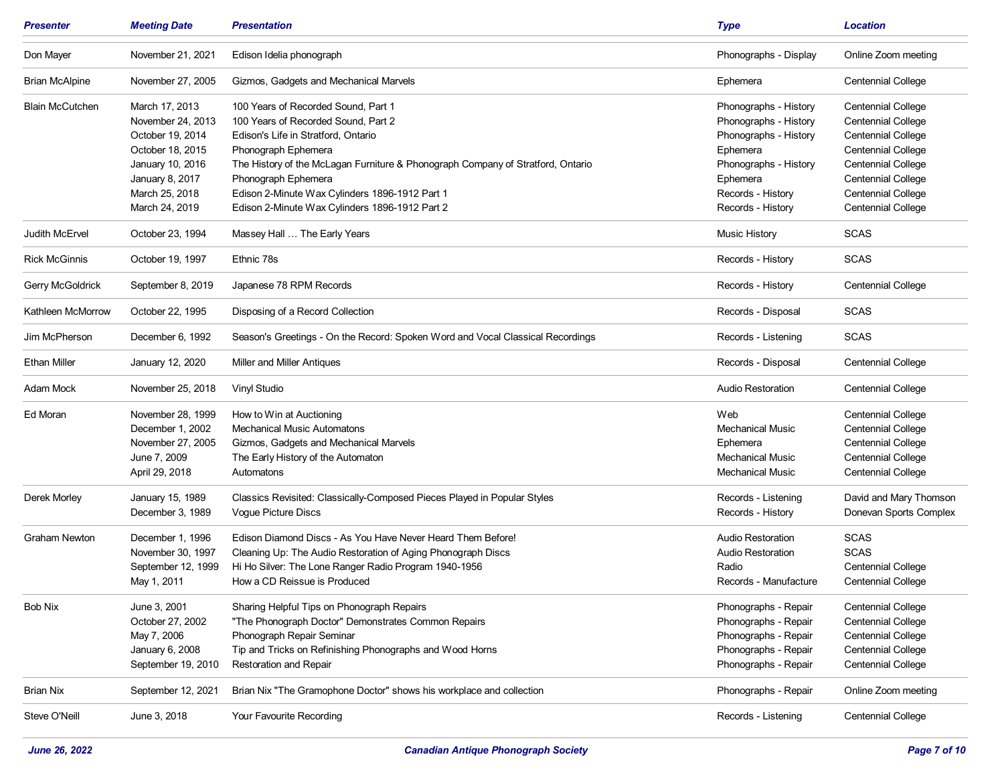| <b>Presenter</b>       | <b>Meeting Date</b> | <b>Presentation</b>                                                             | <b>Type</b>              | <b>Location</b>           |
|------------------------|---------------------|---------------------------------------------------------------------------------|--------------------------|---------------------------|
| Don Mayer              | November 21, 2021   | Edison Idelia phonograph                                                        | Phonographs - Display    | Online Zoom meeting       |
| <b>Brian McAlpine</b>  | November 27, 2005   | Gizmos, Gadgets and Mechanical Marvels                                          | Ephemera                 | <b>Centennial College</b> |
| <b>Blain McCutchen</b> | March 17, 2013      | 100 Years of Recorded Sound, Part 1                                             | Phonographs - History    | <b>Centennial College</b> |
|                        | November 24, 2013   | 100 Years of Recorded Sound, Part 2                                             | Phonographs - History    | <b>Centennial College</b> |
|                        | October 19, 2014    | Edison's Life in Stratford, Ontario                                             | Phonographs - History    | <b>Centennial College</b> |
|                        | October 18, 2015    | Phonograph Ephemera                                                             | Ephemera                 | <b>Centennial College</b> |
|                        | January 10, 2016    | The History of the McLagan Furniture & Phonograph Company of Stratford, Ontario | Phonographs - History    | <b>Centennial College</b> |
|                        | January 8, 2017     | Phonograph Ephemera                                                             | Ephemera                 | <b>Centennial College</b> |
|                        | March 25, 2018      | Edison 2-Minute Wax Cylinders 1896-1912 Part 1                                  | Records - History        | <b>Centennial College</b> |
|                        | March 24, 2019      | Edison 2-Minute Wax Cylinders 1896-1912 Part 2                                  | Records - History        | <b>Centennial College</b> |
| Judith McErvel         | October 23, 1994    | Massey Hall  The Early Years                                                    | Music History            | <b>SCAS</b>               |
| <b>Rick McGinnis</b>   | October 19, 1997    | Ethnic 78s                                                                      | Records - History        | <b>SCAS</b>               |
| Gerry McGoldrick       | September 8, 2019   | Japanese 78 RPM Records                                                         | Records - History        | <b>Centennial College</b> |
| Kathleen McMorrow      | October 22, 1995    | Disposing of a Record Collection                                                | Records - Disposal       | <b>SCAS</b>               |
| Jim McPherson          | December 6, 1992    | Season's Greetings - On the Record: Spoken Word and Vocal Classical Recordings  | Records - Listening      | <b>SCAS</b>               |
| <b>Ethan Miller</b>    | January 12, 2020    | <b>Miller and Miller Antiques</b>                                               | Records - Disposal       | <b>Centennial College</b> |
| Adam Mock              | November 25, 2018   | Vinyl Studio                                                                    | <b>Audio Restoration</b> | <b>Centennial College</b> |
| Ed Moran               | November 28, 1999   | How to Win at Auctioning                                                        | Web                      | <b>Centennial College</b> |
|                        | December 1, 2002    | <b>Mechanical Music Automatons</b>                                              | <b>Mechanical Music</b>  | <b>Centennial College</b> |
|                        | November 27, 2005   | Gizmos, Gadgets and Mechanical Marvels                                          | Ephemera                 | <b>Centennial College</b> |
|                        | June 7, 2009        | The Early History of the Automaton                                              | <b>Mechanical Music</b>  | <b>Centennial College</b> |
|                        | April 29, 2018      | Automatons                                                                      | Mechanical Music         | <b>Centennial College</b> |
| Derek Morley           | January 15, 1989    | Classics Revisited: Classically-Composed Pieces Played in Popular Styles        | Records - Listening      | David and Mary Thomson    |
|                        | December 3, 1989    | Vogue Picture Discs                                                             | Records - History        | Donevan Sports Complex    |
| <b>Graham Newton</b>   | December 1, 1996    | Edison Diamond Discs - As You Have Never Heard Them Before!                     | Audio Restoration        | <b>SCAS</b>               |
|                        | November 30, 1997   | Cleaning Up: The Audio Restoration of Aging Phonograph Discs                    | <b>Audio Restoration</b> | <b>SCAS</b>               |
|                        | September 12, 1999  | Hi Ho Silver: The Lone Ranger Radio Program 1940-1956                           | Radio                    | <b>Centennial College</b> |
|                        | May 1, 2011         | How a CD Reissue is Produced                                                    | Records - Manufacture    | <b>Centennial College</b> |
| <b>Bob Nix</b>         | June 3, 2001        | Sharing Helpful Tips on Phonograph Repairs                                      | Phonographs - Repair     | <b>Centennial College</b> |
|                        | October 27, 2002    | "The Phonograph Doctor" Demonstrates Common Repairs                             | Phonographs - Repair     | <b>Centennial College</b> |
|                        | May 7, 2006         | Phonograph Repair Seminar                                                       | Phonographs - Repair     | <b>Centennial College</b> |
|                        | January 6, 2008     | Tip and Tricks on Refinishing Phonographs and Wood Horns                        | Phonographs - Repair     | <b>Centennial College</b> |
|                        | September 19, 2010  | <b>Restoration and Repair</b>                                                   | Phonographs - Repair     | <b>Centennial College</b> |
| <b>Brian Nix</b>       | September 12, 2021  | Brian Nix "The Gramophone Doctor" shows his workplace and collection            | Phonographs - Repair     | Online Zoom meeting       |
| Steve O'Neill          | June 3, 2018        | Your Favourite Recording                                                        | Records - Listening      | <b>Centennial College</b> |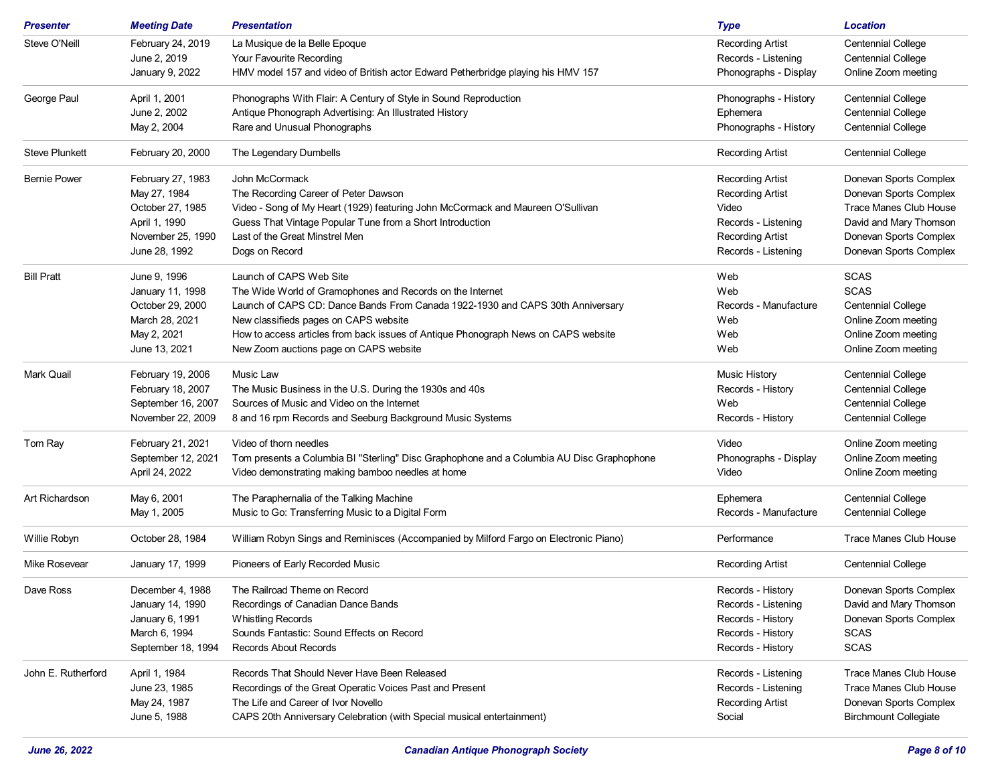| Steve O'Neill<br>February 24, 2019<br>La Musique de la Belle Epoque<br><b>Recording Artist</b><br><b>Centennial College</b><br>Your Favourite Recording<br><b>Centennial College</b><br>June 2, 2019<br>Records - Listening<br>Online Zoom meeting<br>January 9, 2022<br>HMV model 157 and video of British actor Edward Petherbridge playing his HMV 157<br>Phonographs - Display<br>April 1, 2001<br>Phonographs With Flair: A Century of Style in Sound Reproduction<br><b>Centennial College</b><br>Phonographs - History<br>June 2, 2002<br><b>Centennial College</b><br>Antique Phonograph Advertising: An Illustrated History<br>Ephemera<br>Rare and Unusual Phonographs<br><b>Centennial College</b><br>May 2, 2004<br>Phonographs - History<br>February 20, 2000<br>The Legendary Dumbells<br><b>Recording Artist</b><br><b>Centennial College</b><br><b>Bernie Power</b><br>February 27, 1983<br>John McCormack<br>Donevan Sports Complex<br><b>Recording Artist</b><br>May 27, 1984<br>The Recording Career of Peter Dawson<br><b>Recording Artist</b><br>Donevan Sports Complex<br>Video - Song of My Heart (1929) featuring John McCormack and Maureen O'Sullivan<br>Trace Manes Club House<br>October 27, 1985<br>Video<br>David and Mary Thomson<br>April 1, 1990<br>Guess That Vintage Popular Tune from a Short Introduction<br>Records - Listening<br>November 25, 1990<br>Last of the Great Minstrel Men<br>Donevan Sports Complex<br><b>Recording Artist</b><br>June 28, 1992<br>Dogs on Record<br>Records - Listening<br>Donevan Sports Complex<br><b>SCAS</b><br><b>Bill Pratt</b><br>June 9, 1996<br>Launch of CAPS Web Site<br>Web<br><b>SCAS</b><br>January 11, 1998<br>The Wide World of Gramophones and Records on the Internet<br>Web<br>Launch of CAPS CD: Dance Bands From Canada 1922-1930 and CAPS 30th Anniversary<br>October 29, 2000<br>Records - Manufacture<br><b>Centennial College</b><br>March 28, 2021<br>New classifieds pages on CAPS website<br>Web<br>Online Zoom meeting<br>May 2, 2021<br>How to access articles from back issues of Antique Phonograph News on CAPS website<br>Web<br>Online Zoom meeting<br>June 13, 2021<br>New Zoom auctions page on CAPS website<br>Web<br>Online Zoom meeting<br>February 19, 2006<br>Music Law<br><b>Music History</b><br><b>Centennial College</b><br>February 18, 2007<br><b>Centennial College</b><br>The Music Business in the U.S. During the 1930s and 40s<br>Records - History<br>September 16, 2007<br>Sources of Music and Video on the Internet<br>Web<br><b>Centennial College</b><br>November 22, 2009<br>8 and 16 rpm Records and Seeburg Background Music Systems<br>Records - History<br><b>Centennial College</b><br>February 21, 2021<br>Video of thorn needles<br>Online Zoom meeting<br>Video<br>September 12, 2021<br>Tom presents a Columbia BI "Sterling" Disc Graphophone and a Columbia AU Disc Graphophone<br>Phonographs - Display<br>Online Zoom meeting<br>April 24, 2022<br>Video demonstrating making bamboo needles at home<br>Video<br>Online Zoom meeting<br>May 6, 2001<br>Art Richardson<br>The Paraphernalia of the Talking Machine<br>Ephemera<br><b>Centennial College</b><br>Music to Go: Transferring Music to a Digital Form<br>May 1, 2005<br>Records - Manufacture<br><b>Centennial College</b><br><b>Trace Manes Club House</b><br>October 28, 1984<br>William Robyn Sings and Reminisces (Accompanied by Milford Fargo on Electronic Piano)<br>Performance<br><b>Mike Rosevear</b><br>Pioneers of Early Recorded Music<br><b>Centennial College</b><br>January 17, 1999<br><b>Recording Artist</b><br>December 4, 1988<br>The Railroad Theme on Record<br>Records - History<br>Donevan Sports Complex<br>Recordings of Canadian Dance Bands<br>January 14, 1990<br>Records - Listening<br>David and Mary Thomson<br>January 6, 1991<br><b>Whistling Records</b><br>Donevan Sports Complex<br>Records - History<br>March 6, 1994<br>Sounds Fantastic: Sound Effects on Record<br><b>SCAS</b><br>Records - History<br><b>SCAS</b><br>Records About Records<br>September 18, 1994<br>Records - History<br><b>Trace Manes Club House</b><br>John E. Rutherford<br>April 1, 1984<br>Records That Should Never Have Been Released<br>Records - Listening<br>June 23, 1985<br>Recordings of the Great Operatic Voices Past and Present<br>Trace Manes Club House<br>Records - Listening<br>The Life and Career of Ivor Novello<br>Donevan Sports Complex<br>May 24, 1987<br><b>Recording Artist</b><br>CAPS 20th Anniversary Celebration (with Special musical entertainment)<br>Social<br><b>Birchmount Collegiate</b><br>June 5, 1988 | <b>Presenter</b>      | <b>Meeting Date</b> | <b>Presentation</b> | <b>Type</b> | <b>Location</b> |
|----------------------------------------------------------------------------------------------------------------------------------------------------------------------------------------------------------------------------------------------------------------------------------------------------------------------------------------------------------------------------------------------------------------------------------------------------------------------------------------------------------------------------------------------------------------------------------------------------------------------------------------------------------------------------------------------------------------------------------------------------------------------------------------------------------------------------------------------------------------------------------------------------------------------------------------------------------------------------------------------------------------------------------------------------------------------------------------------------------------------------------------------------------------------------------------------------------------------------------------------------------------------------------------------------------------------------------------------------------------------------------------------------------------------------------------------------------------------------------------------------------------------------------------------------------------------------------------------------------------------------------------------------------------------------------------------------------------------------------------------------------------------------------------------------------------------------------------------------------------------------------------------------------------------------------------------------------------------------------------------------------------------------------------------------------------------------------------------------------------------------------------------------------------------------------------------------------------------------------------------------------------------------------------------------------------------------------------------------------------------------------------------------------------------------------------------------------------------------------------------------------------------------------------------------------------------------------------------------------------------------------------------------------------------------------------------------------------------------------------------------------------------------------------------------------------------------------------------------------------------------------------------------------------------------------------------------------------------------------------------------------------------------------------------------------------------------------------------------------------------------------------------------------------------------------------------------------------------------------------------------------------------------------------------------------------------------------------------------------------------------------------------------------------------------------------------------------------------------------------------------------------------------------------------------------------------------------------------------------------------------------------------------------------------------------------------------------------------------------------------------------------------------------------------------------------------------------------------------------------------------------------------------------------------------------------------------------------------------------------------------------------------------------------------------------------------------------------------------------------------------------------------------------------------------------------------------------------------------------------------------------------------------------------------------------------------------------------------------------------------------------------------------------------------------------------------------------------------------------------------------------------------------------------------------------------------------------------------------------------------------------------------------------------------|-----------------------|---------------------|---------------------|-------------|-----------------|
|                                                                                                                                                                                                                                                                                                                                                                                                                                                                                                                                                                                                                                                                                                                                                                                                                                                                                                                                                                                                                                                                                                                                                                                                                                                                                                                                                                                                                                                                                                                                                                                                                                                                                                                                                                                                                                                                                                                                                                                                                                                                                                                                                                                                                                                                                                                                                                                                                                                                                                                                                                                                                                                                                                                                                                                                                                                                                                                                                                                                                                                                                                                                                                                                                                                                                                                                                                                                                                                                                                                                                                                                                                                                                                                                                                                                                                                                                                                                                                                                                                                                                                                                                                                                                                                                                                                                                                                                                                                                                                                                                                                                                                                                      |                       |                     |                     |             |                 |
|                                                                                                                                                                                                                                                                                                                                                                                                                                                                                                                                                                                                                                                                                                                                                                                                                                                                                                                                                                                                                                                                                                                                                                                                                                                                                                                                                                                                                                                                                                                                                                                                                                                                                                                                                                                                                                                                                                                                                                                                                                                                                                                                                                                                                                                                                                                                                                                                                                                                                                                                                                                                                                                                                                                                                                                                                                                                                                                                                                                                                                                                                                                                                                                                                                                                                                                                                                                                                                                                                                                                                                                                                                                                                                                                                                                                                                                                                                                                                                                                                                                                                                                                                                                                                                                                                                                                                                                                                                                                                                                                                                                                                                                                      |                       |                     |                     |             |                 |
|                                                                                                                                                                                                                                                                                                                                                                                                                                                                                                                                                                                                                                                                                                                                                                                                                                                                                                                                                                                                                                                                                                                                                                                                                                                                                                                                                                                                                                                                                                                                                                                                                                                                                                                                                                                                                                                                                                                                                                                                                                                                                                                                                                                                                                                                                                                                                                                                                                                                                                                                                                                                                                                                                                                                                                                                                                                                                                                                                                                                                                                                                                                                                                                                                                                                                                                                                                                                                                                                                                                                                                                                                                                                                                                                                                                                                                                                                                                                                                                                                                                                                                                                                                                                                                                                                                                                                                                                                                                                                                                                                                                                                                                                      |                       |                     |                     |             |                 |
|                                                                                                                                                                                                                                                                                                                                                                                                                                                                                                                                                                                                                                                                                                                                                                                                                                                                                                                                                                                                                                                                                                                                                                                                                                                                                                                                                                                                                                                                                                                                                                                                                                                                                                                                                                                                                                                                                                                                                                                                                                                                                                                                                                                                                                                                                                                                                                                                                                                                                                                                                                                                                                                                                                                                                                                                                                                                                                                                                                                                                                                                                                                                                                                                                                                                                                                                                                                                                                                                                                                                                                                                                                                                                                                                                                                                                                                                                                                                                                                                                                                                                                                                                                                                                                                                                                                                                                                                                                                                                                                                                                                                                                                                      | George Paul           |                     |                     |             |                 |
|                                                                                                                                                                                                                                                                                                                                                                                                                                                                                                                                                                                                                                                                                                                                                                                                                                                                                                                                                                                                                                                                                                                                                                                                                                                                                                                                                                                                                                                                                                                                                                                                                                                                                                                                                                                                                                                                                                                                                                                                                                                                                                                                                                                                                                                                                                                                                                                                                                                                                                                                                                                                                                                                                                                                                                                                                                                                                                                                                                                                                                                                                                                                                                                                                                                                                                                                                                                                                                                                                                                                                                                                                                                                                                                                                                                                                                                                                                                                                                                                                                                                                                                                                                                                                                                                                                                                                                                                                                                                                                                                                                                                                                                                      |                       |                     |                     |             |                 |
|                                                                                                                                                                                                                                                                                                                                                                                                                                                                                                                                                                                                                                                                                                                                                                                                                                                                                                                                                                                                                                                                                                                                                                                                                                                                                                                                                                                                                                                                                                                                                                                                                                                                                                                                                                                                                                                                                                                                                                                                                                                                                                                                                                                                                                                                                                                                                                                                                                                                                                                                                                                                                                                                                                                                                                                                                                                                                                                                                                                                                                                                                                                                                                                                                                                                                                                                                                                                                                                                                                                                                                                                                                                                                                                                                                                                                                                                                                                                                                                                                                                                                                                                                                                                                                                                                                                                                                                                                                                                                                                                                                                                                                                                      |                       |                     |                     |             |                 |
|                                                                                                                                                                                                                                                                                                                                                                                                                                                                                                                                                                                                                                                                                                                                                                                                                                                                                                                                                                                                                                                                                                                                                                                                                                                                                                                                                                                                                                                                                                                                                                                                                                                                                                                                                                                                                                                                                                                                                                                                                                                                                                                                                                                                                                                                                                                                                                                                                                                                                                                                                                                                                                                                                                                                                                                                                                                                                                                                                                                                                                                                                                                                                                                                                                                                                                                                                                                                                                                                                                                                                                                                                                                                                                                                                                                                                                                                                                                                                                                                                                                                                                                                                                                                                                                                                                                                                                                                                                                                                                                                                                                                                                                                      | <b>Steve Plunkett</b> |                     |                     |             |                 |
|                                                                                                                                                                                                                                                                                                                                                                                                                                                                                                                                                                                                                                                                                                                                                                                                                                                                                                                                                                                                                                                                                                                                                                                                                                                                                                                                                                                                                                                                                                                                                                                                                                                                                                                                                                                                                                                                                                                                                                                                                                                                                                                                                                                                                                                                                                                                                                                                                                                                                                                                                                                                                                                                                                                                                                                                                                                                                                                                                                                                                                                                                                                                                                                                                                                                                                                                                                                                                                                                                                                                                                                                                                                                                                                                                                                                                                                                                                                                                                                                                                                                                                                                                                                                                                                                                                                                                                                                                                                                                                                                                                                                                                                                      |                       |                     |                     |             |                 |
|                                                                                                                                                                                                                                                                                                                                                                                                                                                                                                                                                                                                                                                                                                                                                                                                                                                                                                                                                                                                                                                                                                                                                                                                                                                                                                                                                                                                                                                                                                                                                                                                                                                                                                                                                                                                                                                                                                                                                                                                                                                                                                                                                                                                                                                                                                                                                                                                                                                                                                                                                                                                                                                                                                                                                                                                                                                                                                                                                                                                                                                                                                                                                                                                                                                                                                                                                                                                                                                                                                                                                                                                                                                                                                                                                                                                                                                                                                                                                                                                                                                                                                                                                                                                                                                                                                                                                                                                                                                                                                                                                                                                                                                                      |                       |                     |                     |             |                 |
|                                                                                                                                                                                                                                                                                                                                                                                                                                                                                                                                                                                                                                                                                                                                                                                                                                                                                                                                                                                                                                                                                                                                                                                                                                                                                                                                                                                                                                                                                                                                                                                                                                                                                                                                                                                                                                                                                                                                                                                                                                                                                                                                                                                                                                                                                                                                                                                                                                                                                                                                                                                                                                                                                                                                                                                                                                                                                                                                                                                                                                                                                                                                                                                                                                                                                                                                                                                                                                                                                                                                                                                                                                                                                                                                                                                                                                                                                                                                                                                                                                                                                                                                                                                                                                                                                                                                                                                                                                                                                                                                                                                                                                                                      |                       |                     |                     |             |                 |
|                                                                                                                                                                                                                                                                                                                                                                                                                                                                                                                                                                                                                                                                                                                                                                                                                                                                                                                                                                                                                                                                                                                                                                                                                                                                                                                                                                                                                                                                                                                                                                                                                                                                                                                                                                                                                                                                                                                                                                                                                                                                                                                                                                                                                                                                                                                                                                                                                                                                                                                                                                                                                                                                                                                                                                                                                                                                                                                                                                                                                                                                                                                                                                                                                                                                                                                                                                                                                                                                                                                                                                                                                                                                                                                                                                                                                                                                                                                                                                                                                                                                                                                                                                                                                                                                                                                                                                                                                                                                                                                                                                                                                                                                      |                       |                     |                     |             |                 |
|                                                                                                                                                                                                                                                                                                                                                                                                                                                                                                                                                                                                                                                                                                                                                                                                                                                                                                                                                                                                                                                                                                                                                                                                                                                                                                                                                                                                                                                                                                                                                                                                                                                                                                                                                                                                                                                                                                                                                                                                                                                                                                                                                                                                                                                                                                                                                                                                                                                                                                                                                                                                                                                                                                                                                                                                                                                                                                                                                                                                                                                                                                                                                                                                                                                                                                                                                                                                                                                                                                                                                                                                                                                                                                                                                                                                                                                                                                                                                                                                                                                                                                                                                                                                                                                                                                                                                                                                                                                                                                                                                                                                                                                                      |                       |                     |                     |             |                 |
|                                                                                                                                                                                                                                                                                                                                                                                                                                                                                                                                                                                                                                                                                                                                                                                                                                                                                                                                                                                                                                                                                                                                                                                                                                                                                                                                                                                                                                                                                                                                                                                                                                                                                                                                                                                                                                                                                                                                                                                                                                                                                                                                                                                                                                                                                                                                                                                                                                                                                                                                                                                                                                                                                                                                                                                                                                                                                                                                                                                                                                                                                                                                                                                                                                                                                                                                                                                                                                                                                                                                                                                                                                                                                                                                                                                                                                                                                                                                                                                                                                                                                                                                                                                                                                                                                                                                                                                                                                                                                                                                                                                                                                                                      |                       |                     |                     |             |                 |
|                                                                                                                                                                                                                                                                                                                                                                                                                                                                                                                                                                                                                                                                                                                                                                                                                                                                                                                                                                                                                                                                                                                                                                                                                                                                                                                                                                                                                                                                                                                                                                                                                                                                                                                                                                                                                                                                                                                                                                                                                                                                                                                                                                                                                                                                                                                                                                                                                                                                                                                                                                                                                                                                                                                                                                                                                                                                                                                                                                                                                                                                                                                                                                                                                                                                                                                                                                                                                                                                                                                                                                                                                                                                                                                                                                                                                                                                                                                                                                                                                                                                                                                                                                                                                                                                                                                                                                                                                                                                                                                                                                                                                                                                      |                       |                     |                     |             |                 |
|                                                                                                                                                                                                                                                                                                                                                                                                                                                                                                                                                                                                                                                                                                                                                                                                                                                                                                                                                                                                                                                                                                                                                                                                                                                                                                                                                                                                                                                                                                                                                                                                                                                                                                                                                                                                                                                                                                                                                                                                                                                                                                                                                                                                                                                                                                                                                                                                                                                                                                                                                                                                                                                                                                                                                                                                                                                                                                                                                                                                                                                                                                                                                                                                                                                                                                                                                                                                                                                                                                                                                                                                                                                                                                                                                                                                                                                                                                                                                                                                                                                                                                                                                                                                                                                                                                                                                                                                                                                                                                                                                                                                                                                                      |                       |                     |                     |             |                 |
|                                                                                                                                                                                                                                                                                                                                                                                                                                                                                                                                                                                                                                                                                                                                                                                                                                                                                                                                                                                                                                                                                                                                                                                                                                                                                                                                                                                                                                                                                                                                                                                                                                                                                                                                                                                                                                                                                                                                                                                                                                                                                                                                                                                                                                                                                                                                                                                                                                                                                                                                                                                                                                                                                                                                                                                                                                                                                                                                                                                                                                                                                                                                                                                                                                                                                                                                                                                                                                                                                                                                                                                                                                                                                                                                                                                                                                                                                                                                                                                                                                                                                                                                                                                                                                                                                                                                                                                                                                                                                                                                                                                                                                                                      |                       |                     |                     |             |                 |
|                                                                                                                                                                                                                                                                                                                                                                                                                                                                                                                                                                                                                                                                                                                                                                                                                                                                                                                                                                                                                                                                                                                                                                                                                                                                                                                                                                                                                                                                                                                                                                                                                                                                                                                                                                                                                                                                                                                                                                                                                                                                                                                                                                                                                                                                                                                                                                                                                                                                                                                                                                                                                                                                                                                                                                                                                                                                                                                                                                                                                                                                                                                                                                                                                                                                                                                                                                                                                                                                                                                                                                                                                                                                                                                                                                                                                                                                                                                                                                                                                                                                                                                                                                                                                                                                                                                                                                                                                                                                                                                                                                                                                                                                      |                       |                     |                     |             |                 |
|                                                                                                                                                                                                                                                                                                                                                                                                                                                                                                                                                                                                                                                                                                                                                                                                                                                                                                                                                                                                                                                                                                                                                                                                                                                                                                                                                                                                                                                                                                                                                                                                                                                                                                                                                                                                                                                                                                                                                                                                                                                                                                                                                                                                                                                                                                                                                                                                                                                                                                                                                                                                                                                                                                                                                                                                                                                                                                                                                                                                                                                                                                                                                                                                                                                                                                                                                                                                                                                                                                                                                                                                                                                                                                                                                                                                                                                                                                                                                                                                                                                                                                                                                                                                                                                                                                                                                                                                                                                                                                                                                                                                                                                                      |                       |                     |                     |             |                 |
|                                                                                                                                                                                                                                                                                                                                                                                                                                                                                                                                                                                                                                                                                                                                                                                                                                                                                                                                                                                                                                                                                                                                                                                                                                                                                                                                                                                                                                                                                                                                                                                                                                                                                                                                                                                                                                                                                                                                                                                                                                                                                                                                                                                                                                                                                                                                                                                                                                                                                                                                                                                                                                                                                                                                                                                                                                                                                                                                                                                                                                                                                                                                                                                                                                                                                                                                                                                                                                                                                                                                                                                                                                                                                                                                                                                                                                                                                                                                                                                                                                                                                                                                                                                                                                                                                                                                                                                                                                                                                                                                                                                                                                                                      |                       |                     |                     |             |                 |
|                                                                                                                                                                                                                                                                                                                                                                                                                                                                                                                                                                                                                                                                                                                                                                                                                                                                                                                                                                                                                                                                                                                                                                                                                                                                                                                                                                                                                                                                                                                                                                                                                                                                                                                                                                                                                                                                                                                                                                                                                                                                                                                                                                                                                                                                                                                                                                                                                                                                                                                                                                                                                                                                                                                                                                                                                                                                                                                                                                                                                                                                                                                                                                                                                                                                                                                                                                                                                                                                                                                                                                                                                                                                                                                                                                                                                                                                                                                                                                                                                                                                                                                                                                                                                                                                                                                                                                                                                                                                                                                                                                                                                                                                      | <b>Mark Quail</b>     |                     |                     |             |                 |
|                                                                                                                                                                                                                                                                                                                                                                                                                                                                                                                                                                                                                                                                                                                                                                                                                                                                                                                                                                                                                                                                                                                                                                                                                                                                                                                                                                                                                                                                                                                                                                                                                                                                                                                                                                                                                                                                                                                                                                                                                                                                                                                                                                                                                                                                                                                                                                                                                                                                                                                                                                                                                                                                                                                                                                                                                                                                                                                                                                                                                                                                                                                                                                                                                                                                                                                                                                                                                                                                                                                                                                                                                                                                                                                                                                                                                                                                                                                                                                                                                                                                                                                                                                                                                                                                                                                                                                                                                                                                                                                                                                                                                                                                      |                       |                     |                     |             |                 |
|                                                                                                                                                                                                                                                                                                                                                                                                                                                                                                                                                                                                                                                                                                                                                                                                                                                                                                                                                                                                                                                                                                                                                                                                                                                                                                                                                                                                                                                                                                                                                                                                                                                                                                                                                                                                                                                                                                                                                                                                                                                                                                                                                                                                                                                                                                                                                                                                                                                                                                                                                                                                                                                                                                                                                                                                                                                                                                                                                                                                                                                                                                                                                                                                                                                                                                                                                                                                                                                                                                                                                                                                                                                                                                                                                                                                                                                                                                                                                                                                                                                                                                                                                                                                                                                                                                                                                                                                                                                                                                                                                                                                                                                                      |                       |                     |                     |             |                 |
|                                                                                                                                                                                                                                                                                                                                                                                                                                                                                                                                                                                                                                                                                                                                                                                                                                                                                                                                                                                                                                                                                                                                                                                                                                                                                                                                                                                                                                                                                                                                                                                                                                                                                                                                                                                                                                                                                                                                                                                                                                                                                                                                                                                                                                                                                                                                                                                                                                                                                                                                                                                                                                                                                                                                                                                                                                                                                                                                                                                                                                                                                                                                                                                                                                                                                                                                                                                                                                                                                                                                                                                                                                                                                                                                                                                                                                                                                                                                                                                                                                                                                                                                                                                                                                                                                                                                                                                                                                                                                                                                                                                                                                                                      |                       |                     |                     |             |                 |
|                                                                                                                                                                                                                                                                                                                                                                                                                                                                                                                                                                                                                                                                                                                                                                                                                                                                                                                                                                                                                                                                                                                                                                                                                                                                                                                                                                                                                                                                                                                                                                                                                                                                                                                                                                                                                                                                                                                                                                                                                                                                                                                                                                                                                                                                                                                                                                                                                                                                                                                                                                                                                                                                                                                                                                                                                                                                                                                                                                                                                                                                                                                                                                                                                                                                                                                                                                                                                                                                                                                                                                                                                                                                                                                                                                                                                                                                                                                                                                                                                                                                                                                                                                                                                                                                                                                                                                                                                                                                                                                                                                                                                                                                      | Tom Ray               |                     |                     |             |                 |
|                                                                                                                                                                                                                                                                                                                                                                                                                                                                                                                                                                                                                                                                                                                                                                                                                                                                                                                                                                                                                                                                                                                                                                                                                                                                                                                                                                                                                                                                                                                                                                                                                                                                                                                                                                                                                                                                                                                                                                                                                                                                                                                                                                                                                                                                                                                                                                                                                                                                                                                                                                                                                                                                                                                                                                                                                                                                                                                                                                                                                                                                                                                                                                                                                                                                                                                                                                                                                                                                                                                                                                                                                                                                                                                                                                                                                                                                                                                                                                                                                                                                                                                                                                                                                                                                                                                                                                                                                                                                                                                                                                                                                                                                      |                       |                     |                     |             |                 |
|                                                                                                                                                                                                                                                                                                                                                                                                                                                                                                                                                                                                                                                                                                                                                                                                                                                                                                                                                                                                                                                                                                                                                                                                                                                                                                                                                                                                                                                                                                                                                                                                                                                                                                                                                                                                                                                                                                                                                                                                                                                                                                                                                                                                                                                                                                                                                                                                                                                                                                                                                                                                                                                                                                                                                                                                                                                                                                                                                                                                                                                                                                                                                                                                                                                                                                                                                                                                                                                                                                                                                                                                                                                                                                                                                                                                                                                                                                                                                                                                                                                                                                                                                                                                                                                                                                                                                                                                                                                                                                                                                                                                                                                                      |                       |                     |                     |             |                 |
|                                                                                                                                                                                                                                                                                                                                                                                                                                                                                                                                                                                                                                                                                                                                                                                                                                                                                                                                                                                                                                                                                                                                                                                                                                                                                                                                                                                                                                                                                                                                                                                                                                                                                                                                                                                                                                                                                                                                                                                                                                                                                                                                                                                                                                                                                                                                                                                                                                                                                                                                                                                                                                                                                                                                                                                                                                                                                                                                                                                                                                                                                                                                                                                                                                                                                                                                                                                                                                                                                                                                                                                                                                                                                                                                                                                                                                                                                                                                                                                                                                                                                                                                                                                                                                                                                                                                                                                                                                                                                                                                                                                                                                                                      |                       |                     |                     |             |                 |
|                                                                                                                                                                                                                                                                                                                                                                                                                                                                                                                                                                                                                                                                                                                                                                                                                                                                                                                                                                                                                                                                                                                                                                                                                                                                                                                                                                                                                                                                                                                                                                                                                                                                                                                                                                                                                                                                                                                                                                                                                                                                                                                                                                                                                                                                                                                                                                                                                                                                                                                                                                                                                                                                                                                                                                                                                                                                                                                                                                                                                                                                                                                                                                                                                                                                                                                                                                                                                                                                                                                                                                                                                                                                                                                                                                                                                                                                                                                                                                                                                                                                                                                                                                                                                                                                                                                                                                                                                                                                                                                                                                                                                                                                      |                       |                     |                     |             |                 |
|                                                                                                                                                                                                                                                                                                                                                                                                                                                                                                                                                                                                                                                                                                                                                                                                                                                                                                                                                                                                                                                                                                                                                                                                                                                                                                                                                                                                                                                                                                                                                                                                                                                                                                                                                                                                                                                                                                                                                                                                                                                                                                                                                                                                                                                                                                                                                                                                                                                                                                                                                                                                                                                                                                                                                                                                                                                                                                                                                                                                                                                                                                                                                                                                                                                                                                                                                                                                                                                                                                                                                                                                                                                                                                                                                                                                                                                                                                                                                                                                                                                                                                                                                                                                                                                                                                                                                                                                                                                                                                                                                                                                                                                                      | Willie Robyn          |                     |                     |             |                 |
|                                                                                                                                                                                                                                                                                                                                                                                                                                                                                                                                                                                                                                                                                                                                                                                                                                                                                                                                                                                                                                                                                                                                                                                                                                                                                                                                                                                                                                                                                                                                                                                                                                                                                                                                                                                                                                                                                                                                                                                                                                                                                                                                                                                                                                                                                                                                                                                                                                                                                                                                                                                                                                                                                                                                                                                                                                                                                                                                                                                                                                                                                                                                                                                                                                                                                                                                                                                                                                                                                                                                                                                                                                                                                                                                                                                                                                                                                                                                                                                                                                                                                                                                                                                                                                                                                                                                                                                                                                                                                                                                                                                                                                                                      |                       |                     |                     |             |                 |
|                                                                                                                                                                                                                                                                                                                                                                                                                                                                                                                                                                                                                                                                                                                                                                                                                                                                                                                                                                                                                                                                                                                                                                                                                                                                                                                                                                                                                                                                                                                                                                                                                                                                                                                                                                                                                                                                                                                                                                                                                                                                                                                                                                                                                                                                                                                                                                                                                                                                                                                                                                                                                                                                                                                                                                                                                                                                                                                                                                                                                                                                                                                                                                                                                                                                                                                                                                                                                                                                                                                                                                                                                                                                                                                                                                                                                                                                                                                                                                                                                                                                                                                                                                                                                                                                                                                                                                                                                                                                                                                                                                                                                                                                      | Dave Ross             |                     |                     |             |                 |
|                                                                                                                                                                                                                                                                                                                                                                                                                                                                                                                                                                                                                                                                                                                                                                                                                                                                                                                                                                                                                                                                                                                                                                                                                                                                                                                                                                                                                                                                                                                                                                                                                                                                                                                                                                                                                                                                                                                                                                                                                                                                                                                                                                                                                                                                                                                                                                                                                                                                                                                                                                                                                                                                                                                                                                                                                                                                                                                                                                                                                                                                                                                                                                                                                                                                                                                                                                                                                                                                                                                                                                                                                                                                                                                                                                                                                                                                                                                                                                                                                                                                                                                                                                                                                                                                                                                                                                                                                                                                                                                                                                                                                                                                      |                       |                     |                     |             |                 |
|                                                                                                                                                                                                                                                                                                                                                                                                                                                                                                                                                                                                                                                                                                                                                                                                                                                                                                                                                                                                                                                                                                                                                                                                                                                                                                                                                                                                                                                                                                                                                                                                                                                                                                                                                                                                                                                                                                                                                                                                                                                                                                                                                                                                                                                                                                                                                                                                                                                                                                                                                                                                                                                                                                                                                                                                                                                                                                                                                                                                                                                                                                                                                                                                                                                                                                                                                                                                                                                                                                                                                                                                                                                                                                                                                                                                                                                                                                                                                                                                                                                                                                                                                                                                                                                                                                                                                                                                                                                                                                                                                                                                                                                                      |                       |                     |                     |             |                 |
|                                                                                                                                                                                                                                                                                                                                                                                                                                                                                                                                                                                                                                                                                                                                                                                                                                                                                                                                                                                                                                                                                                                                                                                                                                                                                                                                                                                                                                                                                                                                                                                                                                                                                                                                                                                                                                                                                                                                                                                                                                                                                                                                                                                                                                                                                                                                                                                                                                                                                                                                                                                                                                                                                                                                                                                                                                                                                                                                                                                                                                                                                                                                                                                                                                                                                                                                                                                                                                                                                                                                                                                                                                                                                                                                                                                                                                                                                                                                                                                                                                                                                                                                                                                                                                                                                                                                                                                                                                                                                                                                                                                                                                                                      |                       |                     |                     |             |                 |
|                                                                                                                                                                                                                                                                                                                                                                                                                                                                                                                                                                                                                                                                                                                                                                                                                                                                                                                                                                                                                                                                                                                                                                                                                                                                                                                                                                                                                                                                                                                                                                                                                                                                                                                                                                                                                                                                                                                                                                                                                                                                                                                                                                                                                                                                                                                                                                                                                                                                                                                                                                                                                                                                                                                                                                                                                                                                                                                                                                                                                                                                                                                                                                                                                                                                                                                                                                                                                                                                                                                                                                                                                                                                                                                                                                                                                                                                                                                                                                                                                                                                                                                                                                                                                                                                                                                                                                                                                                                                                                                                                                                                                                                                      |                       |                     |                     |             |                 |
|                                                                                                                                                                                                                                                                                                                                                                                                                                                                                                                                                                                                                                                                                                                                                                                                                                                                                                                                                                                                                                                                                                                                                                                                                                                                                                                                                                                                                                                                                                                                                                                                                                                                                                                                                                                                                                                                                                                                                                                                                                                                                                                                                                                                                                                                                                                                                                                                                                                                                                                                                                                                                                                                                                                                                                                                                                                                                                                                                                                                                                                                                                                                                                                                                                                                                                                                                                                                                                                                                                                                                                                                                                                                                                                                                                                                                                                                                                                                                                                                                                                                                                                                                                                                                                                                                                                                                                                                                                                                                                                                                                                                                                                                      |                       |                     |                     |             |                 |
|                                                                                                                                                                                                                                                                                                                                                                                                                                                                                                                                                                                                                                                                                                                                                                                                                                                                                                                                                                                                                                                                                                                                                                                                                                                                                                                                                                                                                                                                                                                                                                                                                                                                                                                                                                                                                                                                                                                                                                                                                                                                                                                                                                                                                                                                                                                                                                                                                                                                                                                                                                                                                                                                                                                                                                                                                                                                                                                                                                                                                                                                                                                                                                                                                                                                                                                                                                                                                                                                                                                                                                                                                                                                                                                                                                                                                                                                                                                                                                                                                                                                                                                                                                                                                                                                                                                                                                                                                                                                                                                                                                                                                                                                      |                       |                     |                     |             |                 |
|                                                                                                                                                                                                                                                                                                                                                                                                                                                                                                                                                                                                                                                                                                                                                                                                                                                                                                                                                                                                                                                                                                                                                                                                                                                                                                                                                                                                                                                                                                                                                                                                                                                                                                                                                                                                                                                                                                                                                                                                                                                                                                                                                                                                                                                                                                                                                                                                                                                                                                                                                                                                                                                                                                                                                                                                                                                                                                                                                                                                                                                                                                                                                                                                                                                                                                                                                                                                                                                                                                                                                                                                                                                                                                                                                                                                                                                                                                                                                                                                                                                                                                                                                                                                                                                                                                                                                                                                                                                                                                                                                                                                                                                                      |                       |                     |                     |             |                 |
|                                                                                                                                                                                                                                                                                                                                                                                                                                                                                                                                                                                                                                                                                                                                                                                                                                                                                                                                                                                                                                                                                                                                                                                                                                                                                                                                                                                                                                                                                                                                                                                                                                                                                                                                                                                                                                                                                                                                                                                                                                                                                                                                                                                                                                                                                                                                                                                                                                                                                                                                                                                                                                                                                                                                                                                                                                                                                                                                                                                                                                                                                                                                                                                                                                                                                                                                                                                                                                                                                                                                                                                                                                                                                                                                                                                                                                                                                                                                                                                                                                                                                                                                                                                                                                                                                                                                                                                                                                                                                                                                                                                                                                                                      |                       |                     |                     |             |                 |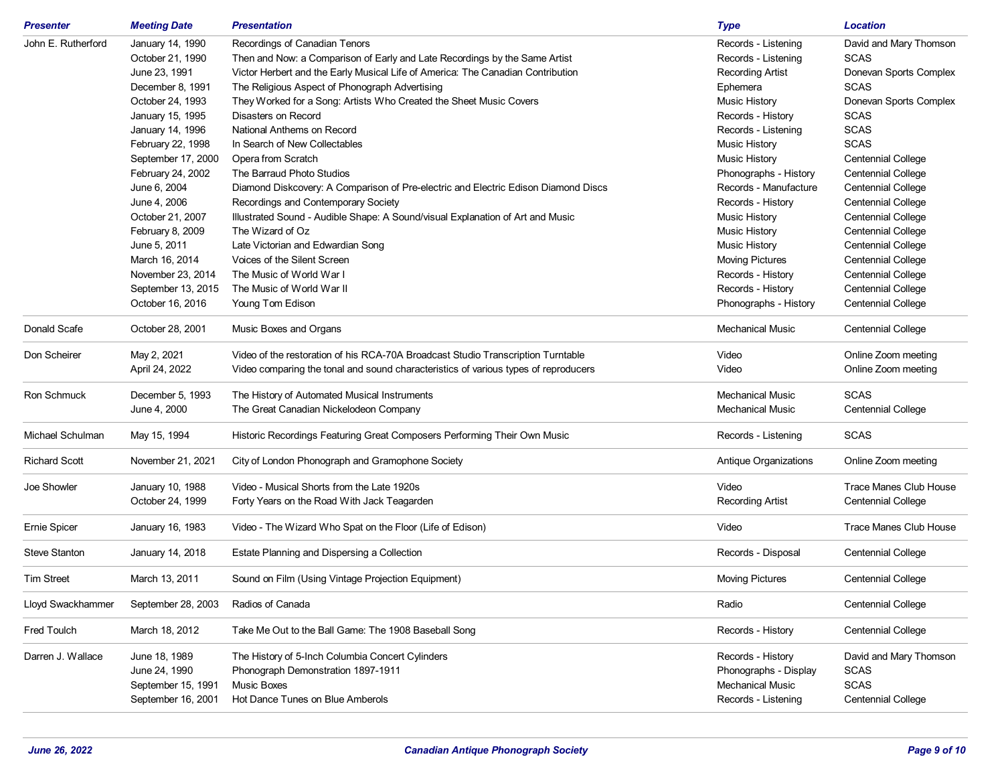| <b>Presenter</b>     | <b>Meeting Date</b> | <b>Presentation</b>                                                                 | <b>Type</b>             | <b>Location</b>           |
|----------------------|---------------------|-------------------------------------------------------------------------------------|-------------------------|---------------------------|
| John E. Rutherford   | January 14, 1990    | Recordings of Canadian Tenors                                                       | Records - Listening     | David and Mary Thomson    |
|                      | October 21, 1990    | Then and Now: a Comparison of Early and Late Recordings by the Same Artist          | Records - Listening     | <b>SCAS</b>               |
|                      | June 23, 1991       | Victor Herbert and the Early Musical Life of America: The Canadian Contribution     | <b>Recording Artist</b> | Donevan Sports Complex    |
|                      | December 8, 1991    | The Religious Aspect of Phonograph Advertising                                      | Ephemera                | <b>SCAS</b>               |
|                      | October 24, 1993    | They Worked for a Song: Artists Who Created the Sheet Music Covers                  | <b>Music History</b>    | Donevan Sports Complex    |
|                      | January 15, 1995    | Disasters on Record                                                                 | Records - History       | <b>SCAS</b>               |
|                      | January 14, 1996    | National Anthems on Record                                                          | Records - Listening     | <b>SCAS</b>               |
|                      | February 22, 1998   | In Search of New Collectables                                                       | <b>Music History</b>    | <b>SCAS</b>               |
|                      | September 17, 2000  | Opera from Scratch                                                                  | <b>Music History</b>    | <b>Centennial College</b> |
|                      | February 24, 2002   | The Barraud Photo Studios                                                           | Phonographs - History   | <b>Centennial College</b> |
|                      | June 6, 2004        | Diamond Diskcovery: A Comparison of Pre-electric and Electric Edison Diamond Discs  | Records - Manufacture   | <b>Centennial College</b> |
|                      | June 4, 2006        | Recordings and Contemporary Society                                                 | Records - History       | <b>Centennial College</b> |
|                      | October 21, 2007    | Illustrated Sound - Audible Shape: A Sound/visual Explanation of Art and Music      | <b>Music History</b>    | <b>Centennial College</b> |
|                      | February 8, 2009    | The Wizard of Oz                                                                    | <b>Music History</b>    | <b>Centennial College</b> |
|                      | June 5, 2011        | Late Victorian and Edwardian Song                                                   | <b>Music History</b>    | <b>Centennial College</b> |
|                      | March 16, 2014      | Voices of the Silent Screen                                                         | <b>Moving Pictures</b>  | <b>Centennial College</b> |
|                      | November 23, 2014   | The Music of World War I                                                            | Records - History       | <b>Centennial College</b> |
|                      | September 13, 2015  | The Music of World War II                                                           | Records - History       | <b>Centennial College</b> |
|                      | October 16, 2016    | Young Tom Edison                                                                    | Phonographs - History   | <b>Centennial College</b> |
| Donald Scafe         | October 28, 2001    | Music Boxes and Organs                                                              | <b>Mechanical Music</b> | <b>Centennial College</b> |
| Don Scheirer         | May 2, 2021         | Video of the restoration of his RCA-70A Broadcast Studio Transcription Turntable    | Video                   | Online Zoom meeting       |
|                      | April 24, 2022      | Video comparing the tonal and sound characteristics of various types of reproducers | Video                   | Online Zoom meeting       |
| Ron Schmuck          | December 5, 1993    | The History of Automated Musical Instruments                                        | <b>Mechanical Music</b> | <b>SCAS</b>               |
|                      | June 4, 2000        | The Great Canadian Nickelodeon Company                                              | <b>Mechanical Music</b> | <b>Centennial College</b> |
| Michael Schulman     | May 15, 1994        | Historic Recordings Featuring Great Composers Performing Their Own Music            | Records - Listening     | <b>SCAS</b>               |
|                      |                     |                                                                                     |                         |                           |
| <b>Richard Scott</b> | November 21, 2021   | City of London Phonograph and Gramophone Society                                    | Antique Organizations   | Online Zoom meeting       |
| Joe Showler          | January 10, 1988    | Video - Musical Shorts from the Late 1920s                                          | Video                   | Trace Manes Club House    |
|                      | October 24, 1999    | Forty Years on the Road With Jack Teagarden                                         | <b>Recording Artist</b> | <b>Centennial College</b> |
| <b>Ernie Spicer</b>  | January 16, 1983    | Video - The Wizard Who Spat on the Floor (Life of Edison)                           | Video                   | Trace Manes Club House    |
| <b>Steve Stanton</b> | January 14, 2018    | Estate Planning and Dispersing a Collection                                         | Records - Disposal      | <b>Centennial College</b> |
| <b>Tim Street</b>    | March 13, 2011      | Sound on Film (Using Vintage Projection Equipment)                                  | <b>Moving Pictures</b>  | <b>Centennial College</b> |
| Lloyd Swackhammer    | September 28, 2003  | Radios of Canada                                                                    | Radio                   | <b>Centennial College</b> |
| Fred Toulch          | March 18, 2012      | Take Me Out to the Ball Game: The 1908 Baseball Song                                | Records - History       | <b>Centennial College</b> |
|                      |                     |                                                                                     |                         |                           |
| Darren J. Wallace    | June 18, 1989       | The History of 5-Inch Columbia Concert Cylinders                                    | Records - History       | David and Mary Thomson    |
|                      | June 24, 1990       | Phonograph Demonstration 1897-1911                                                  | Phonographs - Display   | <b>SCAS</b>               |
|                      | September 15, 1991  | <b>Music Boxes</b>                                                                  | <b>Mechanical Music</b> | <b>SCAS</b>               |
|                      | September 16, 2001  | Hot Dance Tunes on Blue Amberols                                                    | Records - Listening     | <b>Centennial College</b> |